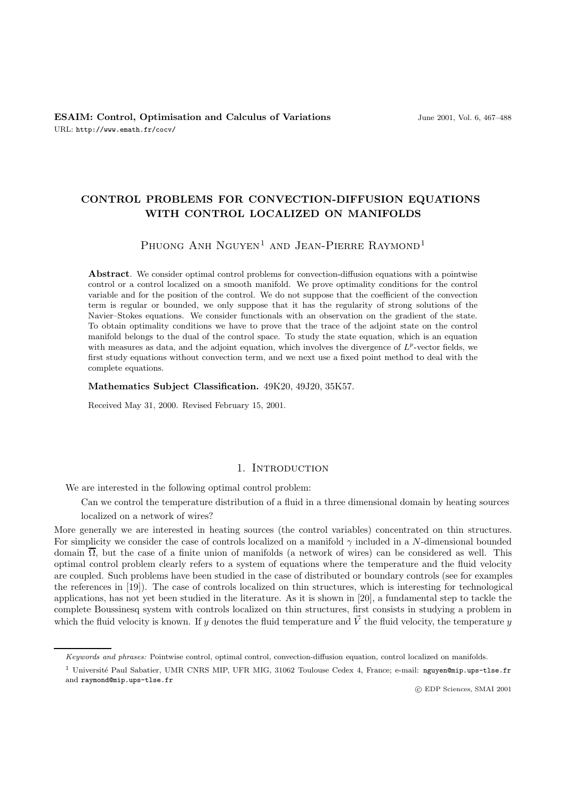# **CONTROL PROBLEMS FOR CONVECTION-DIFFUSION EQUATIONS WITH CONTROL LOCALIZED ON MANIFOLDS**

PHUONG ANH NGUYEN<sup>1</sup> AND JEAN-PIERRE RAYMOND<sup>1</sup>

**Abstract**. We consider optimal control problems for convection-diffusion equations with a pointwise control or a control localized on a smooth manifold. We prove optimality conditions for the control variable and for the position of the control. We do not suppose that the coefficient of the convection term is regular or bounded, we only suppose that it has the regularity of strong solutions of the Navier–Stokes equations. We consider functionals with an observation on the gradient of the state. To obtain optimality conditions we have to prove that the trace of the adjoint state on the control manifold belongs to the dual of the control space. To study the state equation, which is an equation with measures as data, and the adjoint equation, which involves the divergence of  $L^p$ -vector fields, we first study equations without convection term, and we next use a fixed point method to deal with the complete equations.

**Mathematics Subject Classification.** 49K20, 49J20, 35K57.

Received May 31, 2000. Revised February 15, 2001.

## 1. INTRODUCTION

We are interested in the following optimal control problem:

Can we control the temperature distribution of a fluid in a three dimensional domain by heating sources

localized on a network of wires?

More generally we are interested in heating sources (the control variables) concentrated on thin structures. For simplicity we consider the case of controls localized on a manifold  $\gamma$  included in a N-dimensional bounded domain  $\overline{\Omega}$ , but the case of a finite union of manifolds (a network of wires) can be considered as well. This optimal control problem clearly refers to a system of equations where the temperature and the fluid velocity are coupled. Such problems have been studied in the case of distributed or boundary controls (see for examples the references in [19]). The case of controls localized on thin structures, which is interesting for technological applications, has not yet been studied in the literature. As it is shown in [20], a fundamental step to tackle the complete Boussinesq system with controls localized on thin structures, first consists in studying a problem in which the fluid velocity is known. If y denotes the fluid temperature and  $\vec{V}$  the fluid velocity, the temperature y

c EDP Sciences, SMAI 2001

Keywords and phrases: Pointwise control, optimal control, convection-diffusion equation, control localized on manifolds.

<sup>&</sup>lt;sup>1</sup> Université Paul Sabatier, UMR CNRS MIP, UFR MIG, 31062 Toulouse Cedex 4, France; e-mail: nguyen@mip.ups-tlse.fr and raymond@mip.ups-tlse.fr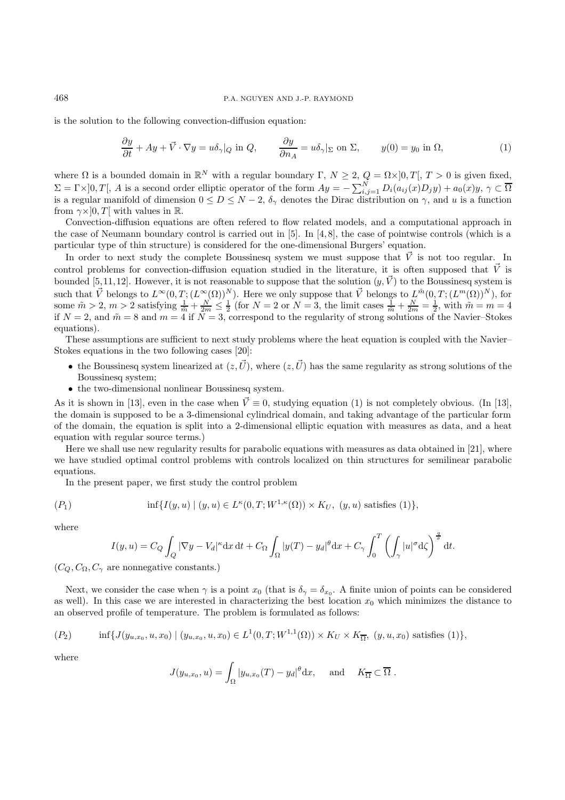is the solution to the following convection-diffusion equation:

$$
\frac{\partial y}{\partial t} + Ay + \vec{V} \cdot \nabla y = u \delta_{\gamma} |_{Q} \text{ in } Q, \qquad \frac{\partial y}{\partial n_{A}} = u \delta_{\gamma} |_{\Sigma} \text{ on } \Sigma, \qquad y(0) = y_{0} \text{ in } \Omega,
$$
 (1)

where  $\Omega$  is a bounded domain in  $\mathbb{R}^N$  with a regular boundary  $\Gamma, N \geq 2, Q = \Omega \times ]0, T[, T > 0$  is given fixed,  $\Sigma = \Gamma \times ]0, T[, A$  is a second order elliptic operator of the form  $Ay = -\sum_{i,j=1}^{N} D_i(a_{ij}(x)D_jy) + a_0(x)y, \gamma \subset \overline{\Omega}$ is a regular manifold of dimension  $0 \le D \le N-2$ ,  $\delta_{\gamma}$  denotes the Dirac distribution on  $\gamma$ , and u is a function from  $\gamma \times ]0, T[$  with values in R.

Convection-diffusion equations are often refered to flow related models, and a computational approach in the case of Neumann boundary control is carried out in [5]. In [4, 8], the case of pointwise controls (which is a particular type of thin structure) is considered for the one-dimensional Burgers' equation.

In order to next study the complete Boussinesq system we must suppose that  $\vec{V}$  is not too regular. In control problems for convection-diffusion equation studied in the literature, it is often supposed that  $\vec{V}$  is bounded [5,11,12]. However, it is not reasonable to suppose that the solution  $(y, \vec{V})$  to the Boussinesq system is such that  $\vec{V}$  belongs to  $L^{\infty}(0,T; (L^{\infty}(\Omega))^N)$ . Here we only suppose that  $\vec{V}$  belongs to  $L^{\tilde{m}}(0,T; (L^m(\Omega))^N)$ , for some  $\tilde{m} > 2$ ,  $m > 2$  satisfying  $\frac{1}{\tilde{m}} + \frac{N}{2m} \leq \frac{1}{2}$  (for  $N = 2$  or  $N = 3$ , the limit cases  $\frac{1}{\tilde{m}} + \frac{N}{2m} = \frac{1}{2}$ , with  $\tilde{m} = m = 4$ if  $N = 2$ , and  $\tilde{m} = 8$  and  $m = 4$  if  $N = 3$ , correspond to the regularity of strong solutions of the Navier–Stokes equations).

These assumptions are sufficient to next study problems where the heat equation is coupled with the Navier– Stokes equations in the two following cases [20]:

- the Boussinesq system linearized at  $(z,\vec{U})$ , where  $(z,\vec{U})$  has the same regularity as strong solutions of the Boussinesq system;
- the two-dimensional nonlinear Boussinesq system.

As it is shown in [13], even in the case when  $\vec{V} \equiv 0$ , studying equation (1) is not completely obvious. (In [13], the domain is supposed to be a 3-dimensional cylindrical domain, and taking advantage of the particular form of the domain, the equation is split into a 2-dimensional elliptic equation with measures as data, and a heat equation with regular source terms.)

Here we shall use new regularity results for parabolic equations with measures as data obtained in [21], where we have studied optimal control problems with controls localized on thin structures for semilinear parabolic equations.

In the present paper, we first study the control problem

$$
(P_1) \t\t inf{I(y, u) | (y, u) \in L^{\kappa}(0, T; W^{1, \kappa}(\Omega)) \times K_U, (y, u) \text{ satisfies (1)}},
$$

where

$$
I(y, u) = C_Q \int_Q |\nabla y - V_d|^{\kappa} dx dt + C_\Omega \int_{\Omega} |y(T) - y_d|^{\theta} dx + C_\gamma \int_0^T \left( \int_\gamma |u|^\sigma d\zeta \right)^{\frac{q}{\sigma}} dt.
$$

 $(C_Q, C_Q, C_\gamma)$  are nonnegative constants.)

Next, we consider the case when  $\gamma$  is a point  $x_0$  (that is  $\delta_{\gamma} = \delta_{x_0}$ . A finite union of points can be considered as well). In this case we are interested in characterizing the best location  $x_0$  which minimizes the distance to an observed profile of temperature. The problem is formulated as follows:

$$
(P_2) \t\t inf\{J(y_{u,x_0},u,x_0) \mid (y_{u,x_0},u,x_0) \in L^1(0,T;W^{1,1}(\Omega)) \times K_U \times K_{\overline{\Omega}}, (y,u,x_0) \text{ satisfies (1)}\},\
$$

where

$$
J(y_{u,x_0}, u) = \int_{\Omega} |y_{u,x_0}(T) - y_d|^{\theta} dx, \quad \text{and} \quad K_{\overline{\Omega}} \subset \overline{\Omega} .
$$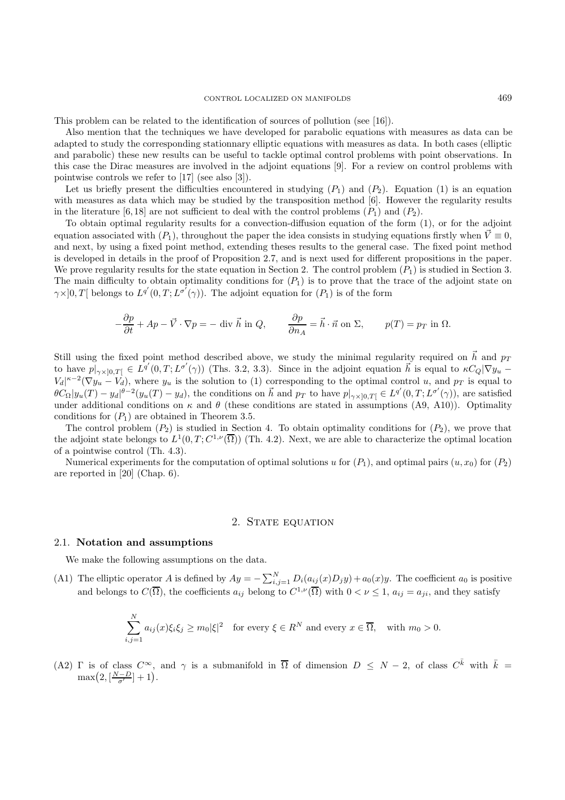This problem can be related to the identification of sources of pollution (see [16]).

Also mention that the techniques we have developed for parabolic equations with measures as data can be adapted to study the corresponding stationnary elliptic equations with measures as data. In both cases (elliptic and parabolic) these new results can be useful to tackle optimal control problems with point observations. In this case the Dirac measures are involved in the adjoint equations [9]. For a review on control problems with pointwise controls we refer to [17] (see also [3]).

Let us briefly present the difficulties encountered in studying  $(P_1)$  and  $(P_2)$ . Equation (1) is an equation with measures as data which may be studied by the transposition method [6]. However the regularity results in the literature [6,18] are not sufficient to deal with the control problems  $(P_1)$  and  $(P_2)$ .

To obtain optimal regularity results for a convection-diffusion equation of the form (1), or for the adjoint equation associated with  $(P_1)$ , throughout the paper the idea consists in studying equations firstly when  $\vec{V} \equiv 0$ , and next, by using a fixed point method, extending theses results to the general case. The fixed point method is developed in details in the proof of Proposition 2.7, and is next used for different propositions in the paper. We prove regularity results for the state equation in Section 2. The control problem  $(P_1)$  is studied in Section 3. The main difficulty to obtain optimality conditions for  $(P_1)$  is to prove that the trace of the adjoint state on  $\gamma \times ]0,T[$  belongs to  $L^{q'}(0,T;L^{\sigma'}(\gamma))$ . The adjoint equation for  $(P_1)$  is of the form

$$
-\frac{\partial p}{\partial t} + Ap - \vec{V} \cdot \nabla p = -\text{ div } \vec{h} \text{ in } Q, \qquad \frac{\partial p}{\partial n_A} = \vec{h} \cdot \vec{n} \text{ on } \Sigma, \qquad p(T) = p_T \text{ in } \Omega.
$$

Still using the fixed point method described above, we study the minimal regularity required on  $\vec{h}$  and  $p_T$ to have  $p|_{\gamma\times]0,T[} \in L^{q'}(0,T;L^{\sigma'}(\gamma))$  (Ths. 3.2, 3.3). Since in the adjoint equation  $\vec{h}$  is equal to  $\kappa C_Q|\nabla y_u V_d|^{k-2}(\nabla y_u - V_d)$ , where  $y_u$  is the solution to (1) corresponding to the optimal control u, and  $p_T$  is equal to  $\theta C_{\Omega}|y_u(T) - y_d|^{\theta - 2}(y_u(T) - y_d)$ , the conditions on  $\vec{h}$  and  $p_T$  to have  $p|_{\gamma \times ]0,T[} \in L^{q'}(0,T; L^{\sigma'}(\gamma))$ , are satisfied under additional conditions on  $\kappa$  and  $\theta$  (these conditions are stated in assumptions (A9, A10)). Optimality conditions for  $(P_1)$  are obtained in Theorem 3.5.

The control problem  $(P_2)$  is studied in Section 4. To obtain optimality conditions for  $(P_2)$ , we prove that the adjoint state belongs to  $L^1(0,T;C^{1,\nu}(\overline{\Omega}))$  (Th. 4.2). Next, we are able to characterize the optimal location of a pointwise control (Th. 4.3).

Numerical experiments for the computation of optimal solutions u for  $(P_1)$ , and optimal pairs  $(u, x_0)$  for  $(P_2)$ are reported in [20] (Chap. 6).

## 2. STATE EQUATION

#### 2.1. **Notation and assumptions**

We make the following assumptions on the data.

(A1) The elliptic operator A is defined by  $Ay = -\sum_{i,j=1}^{N} D_i(a_{ij}(x)D_jy) + a_0(x)y$ . The coefficient  $a_0$  is positive and belongs to  $C(\overline{\Omega})$ , the coefficients  $a_{ij}$  belong to  $C^{1,\nu}(\overline{\Omega})$  with  $0<\nu\leq 1$ ,  $a_{ij}=a_{ji}$ , and they satisfy

$$
\sum_{i,j=1}^{N} a_{ij}(x)\xi_i\xi_j \ge m_0|\xi|^2 \quad \text{for every } \xi \in R^N \text{ and every } x \in \overline{\Omega}, \quad \text{with } m_0 > 0.
$$

(A2) Γ is of class  $C^{\infty}$ , and  $\gamma$  is a submanifold in  $\overline{\Omega}$  of dimension  $D \leq N-2$ , of class  $C^{\overline{k}}$  with  $\overline{k} =$  $\max(2, \left[\frac{N-D}{\sigma'}\right]+1).$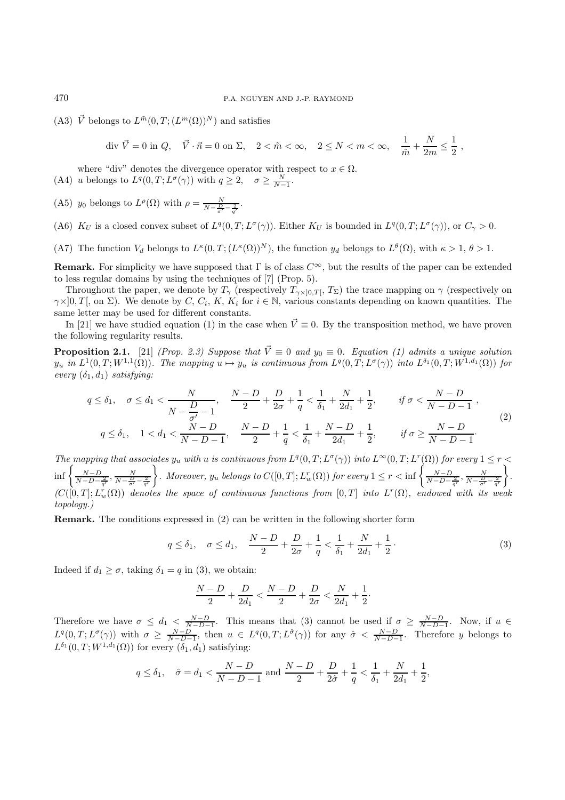(A3)  $\vec{V}$  belongs to  $L^{\tilde{m}}(0, T ; (L^m(\Omega))^N)$  and satisfies

$$
\text{div }\vec{V} = 0 \text{ in } Q, \quad \vec{V} \cdot \vec{n} = 0 \text{ on } \Sigma, \quad 2 < \tilde{m} < \infty, \quad 2 \le N < m < \infty, \quad \frac{1}{\tilde{m}} + \frac{N}{2m} \le \frac{1}{2} ,
$$

where "div" denotes the divergence operator with respect to  $x \in \Omega$ . (A4) *u* belongs to  $L^q(0,T; L^{\sigma}(\gamma))$  with  $q \geq 2$ ,  $\sigma \geq \frac{N}{N-1}$ .

(A5)  $y_0$  belongs to  $L^{\rho}(\Omega)$  with  $\rho = \frac{N}{N - \frac{D}{\sigma'} - \frac{2}{q'}}$ .

- (A6)  $K_U$  is a closed convex subset of  $L^q(0,T;L^\sigma(\gamma))$ . Either  $K_U$  is bounded in  $L^q(0,T;L^\sigma(\gamma))$ , or  $C_\gamma > 0$ .
- (A7) The function  $V_d$  belongs to  $L^{\kappa}(0,T;(L^{\kappa}(\Omega))^N)$ , the function  $y_d$  belongs to  $L^{\theta}(\Omega)$ , with  $\kappa > 1, \theta > 1$ .

**Remark.** For simplicity we have supposed that  $\Gamma$  is of class  $C^{\infty}$ , but the results of the paper can be extended to less regular domains by using the techniques of [7] (Prop. 5).

Throughout the paper, we denote by  $T_{\gamma}$  (respectively  $T_{\gamma \times ]0,T[}$ ,  $T_{\Sigma}$ ) the trace mapping on  $\gamma$  (respectively on  $\gamma \times ]0,T[$ , on  $\Sigma$ ). We denote by C, C<sub>i</sub>, K, K<sub>i</sub> for  $i \in \mathbb{N}$ , various constants depending on known quantities. The same letter may be used for different constants.

In [21] we have studied equation (1) in the case when  $\vec{V} \equiv 0$ . By the transposition method, we have proven the following regularity results.

**Proposition 2.1.** [21] (Prop. 2.3) Suppose that  $\vec{V} \equiv 0$  and  $y_0 \equiv 0$ . Equation (1) admits a unique solution  $y_u$  in  $L^1(0,T;W^{1,1}(\Omega))$ . The mapping  $u \mapsto y_u$  is continuous from  $L^q(0,T;L^{\sigma}(\gamma))$  into  $L^{\delta_1}(0,T;W^{1,d_1}(\Omega))$  for every  $(\delta_1, d_1)$  satisfying:

$$
q \leq \delta_1, \quad \sigma \leq d_1 < \frac{N}{N - \frac{D}{\sigma'} - 1}, \quad \frac{N - D}{2} + \frac{D}{2\sigma} + \frac{1}{q} < \frac{1}{\delta_1} + \frac{N}{2d_1} + \frac{1}{2}, \qquad \text{if } \sigma < \frac{N - D}{N - D - 1},
$$
\n
$$
q \leq \delta_1, \quad 1 < d_1 < \frac{N - D}{N - D - 1}, \quad \frac{N - D}{2} + \frac{1}{q} < \frac{1}{\delta_1} + \frac{N - D}{2d_1} + \frac{1}{2}, \qquad \text{if } \sigma \geq \frac{N - D}{N - D - 1}.
$$
\n
$$
(2)
$$

The mapping that associates  $y_u$  with u is continuous from  $L^q(0,T;L^\sigma(\gamma))$  into  $L^\infty(0,T;L^r(\Omega))$  for every  $1 \leq r <$  $\inf \left\{ \frac{N-D}{N-D-\frac{2}{q'}}, \frac{N}{N-\frac{D}{\sigma'}-\frac{2}{q'}} \right\}$ A Moreover,  $y_u$  belongs to  $C([0,T]; L^r_w(\Omega))$  for every  $1 \leq r < \inf \left\{ \frac{N-D}{N-D-\frac{2}{q'}} , \frac{N}{N-\frac{D}{q'}-\frac{2}{q'}} \right\}$  $\big\}$ .  $(C([0,T];L^r_w(\Omega))$  denotes the space of continuous functions from  $[0,T]$  into  $L^r(\Omega)$ , endowed with its weak topology.)

**Remark.** The conditions expressed in (2) can be written in the following shorter form

$$
q \leq \delta_1, \quad \sigma \leq d_1, \quad \frac{N-D}{2} + \frac{D}{2\sigma} + \frac{1}{q} < \frac{1}{\delta_1} + \frac{N}{2d_1} + \frac{1}{2} \tag{3}
$$

Indeed if  $d_1 > \sigma$ , taking  $\delta_1 = q$  in (3), we obtain:

$$
\frac{N-D}{2} + \frac{D}{2d_1} < \frac{N-D}{2} + \frac{D}{2\sigma} < \frac{N}{2d_1} + \frac{1}{2}.
$$

Therefore we have  $\sigma \leq d_1 < \frac{N-D}{N-D-1}$ . This means that (3) cannot be used if  $\sigma \geq \frac{N-D}{N-D-1}$ . Now, if  $u \in$  $L^q(0,T;L^{\sigma}(\gamma))$  with  $\sigma \geq \frac{N-D}{N-D-1}$ , then  $u \in L^q(0,T;L^{\hat{\sigma}}(\gamma))$  for any  $\hat{\sigma} < \frac{N-D}{N-D-1}$ . Therefore y belongs to  $L^{\delta_1}(0,T;W^{1,d_1}(\Omega))$  for every  $(\delta_1,d_1)$  satisfying:

$$
q \leq \delta_1, \quad \hat{\sigma} = d_1 < \frac{N - D}{N - D - 1} \text{ and } \frac{N - D}{2} + \frac{D}{2\hat{\sigma}} + \frac{1}{q} < \frac{1}{\delta_1} + \frac{N}{2d_1} + \frac{1}{2},
$$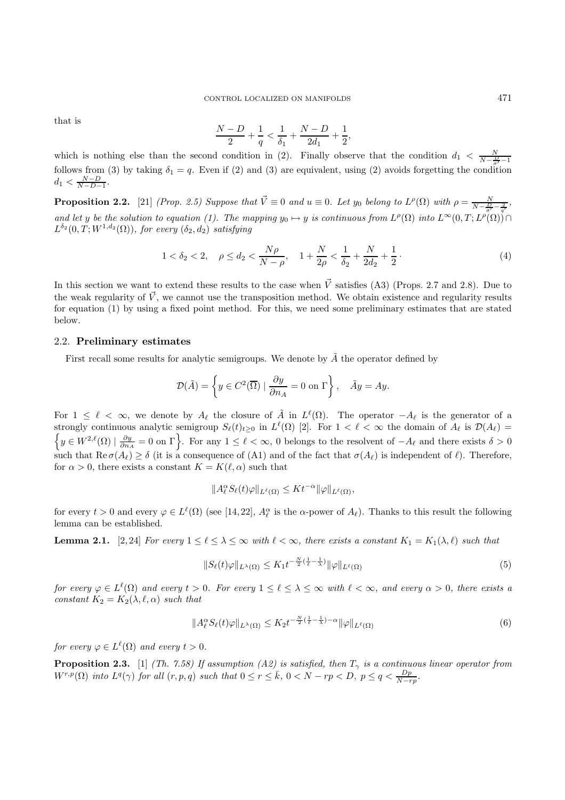that is

$$
\frac{N-D}{2} + \frac{1}{q} < \frac{1}{\delta_1} + \frac{N-D}{2d_1} + \frac{1}{2},
$$

which is nothing else than the second condition in (2). Finally observe that the condition  $d_1 < \frac{N}{N-\frac{D}{\sigma'}-1}$ follows from (3) by taking  $\delta_1 = q$ . Even if (2) and (3) are equivalent, using (2) avoids forgetting the condition  $d_1 < \frac{N-D}{N-D-1}.$ 

**Proposition 2.2.** [21] (Prop. 2.5) Suppose that  $\vec{V} \equiv 0$  and  $u \equiv 0$ . Let  $y_0$  belong to  $L^{\rho}(\Omega)$  with  $\rho = \frac{N}{N - \frac{D}{\sigma'} - \frac{2}{q'}}$ , and let y be the solution to equation (1). The mapping  $y_0 \mapsto y$  is continuous from  $L^{\rho}(\Omega)$  into  $L^{\infty}(0,T;L^{\rho}(\Omega))$  $L^{\delta_2}(0,T;W^{1,d_2}(\Omega))$ , for every  $(\delta_2,d_2)$  satisfying

$$
1 < \delta_2 < 2, \quad \rho \le d_2 < \frac{N\rho}{N - \rho}, \quad 1 + \frac{N}{2\rho} < \frac{1}{\delta_2} + \frac{N}{2d_2} + \frac{1}{2} \,. \tag{4}
$$

In this section we want to extend these results to the case when  $\vec{V}$  satisfies (A3) (Props. 2.7 and 2.8). Due to the weak regularity of  $\vec{V}$ , we cannot use the transposition method. We obtain existence and regularity results for equation (1) by using a fixed point method. For this, we need some preliminary estimates that are stated below.

## 2.2. **Preliminary estimates**

First recall some results for analytic semigroups. We denote by  $\tilde{A}$  the operator defined by

$$
\mathcal{D}(\tilde{A}) = \left\{ y \in C^2(\overline{\Omega}) \mid \frac{\partial y}{\partial n_A} = 0 \text{ on } \Gamma \right\}, \quad \tilde{A}y = Ay.
$$

For  $1 \leq \ell < \infty$ , we denote by  $A_{\ell}$  the closure of  $\tilde{A}$  in  $L^{\ell}(\Omega)$ . The operator  $-A_{\ell}$  is the generator of a strongly continuous analytic semigroup  $S_{\ell}(t)_{t\geq0}$  in  $L^{\ell}(\Omega)$  [2]. For  $1 < \ell < \infty$  the domain of  $A_{\ell}$  is  $\mathcal{D}(A_{\ell}) =$  $\left\{y \in W^{2,\ell}(\Omega) \mid \frac{\partial y}{\partial n_A} = 0 \text{ on } \Gamma\right\}.$  For any  $1 \leq \ell < \infty$ , 0 belongs to the resolvent of  $-A_{\ell}$  and there exists  $\delta > 0$ such that  $\text{Re}\,\sigma(A_\ell) \geq \delta$  (it is a consequence of (A1) and of the fact that  $\sigma(A_\ell)$  is independent of  $\ell$ ). Therefore, for  $\alpha > 0$ , there exists a constant  $K = K(\ell, \alpha)$  such that

$$
||A_{\ell}^{\alpha} S_{\ell}(t)\varphi||_{L^{\ell}(\Omega)} \leq K t^{-\alpha} ||\varphi||_{L^{\ell}(\Omega)},
$$

for every  $t > 0$  and every  $\varphi \in L^{\ell}(\Omega)$  (see [14, 22],  $A_{\ell}^{\alpha}$  is the  $\alpha$ -power of  $A_{\ell}$ ). Thanks to this result the following lemma can be established.

**Lemma 2.1.** [2,24] For every  $1 \leq \ell \leq \lambda \leq \infty$  with  $\ell < \infty$ , there exists a constant  $K_1 = K_1(\lambda, \ell)$  such that

$$
||S_{\ell}(t)\varphi||_{L^{\lambda}(\Omega)} \leq K_1 t^{-\frac{N}{2}(\frac{1}{\ell}-\frac{1}{\lambda})} ||\varphi||_{L^{\ell}(\Omega)} \tag{5}
$$

for every  $\varphi \in L^{\ell}(\Omega)$  and every  $t > 0$ . For every  $1 \leq \ell \leq \lambda \leq \infty$  with  $\ell < \infty$ , and every  $\alpha > 0$ , there exists a constant  $K_2 = K_2(\lambda, \ell, \alpha)$  such that

$$
||A_{\ell}^{\alpha} S_{\ell}(t)\varphi||_{L^{\lambda}(\Omega)} \le K_2 t^{-\frac{N}{2}(\frac{1}{\ell} - \frac{1}{\lambda}) - \alpha} ||\varphi||_{L^{\ell}(\Omega)} \tag{6}
$$

for every  $\varphi \in L^{\ell}(\Omega)$  and every  $t > 0$ .

**Proposition 2.3.** [1] (Th. 7.58) If assumption (A2) is satisfied, then  $T_{\gamma}$  is a continuous linear operator from  $W^{r,p}(\Omega)$  into  $L^q(\gamma)$  for all  $(r, p, q)$  such that  $0 \le r \le \bar{k}$ ,  $0 < N - rp < D$ ,  $p \le q < \frac{Dp}{N - rp}$ .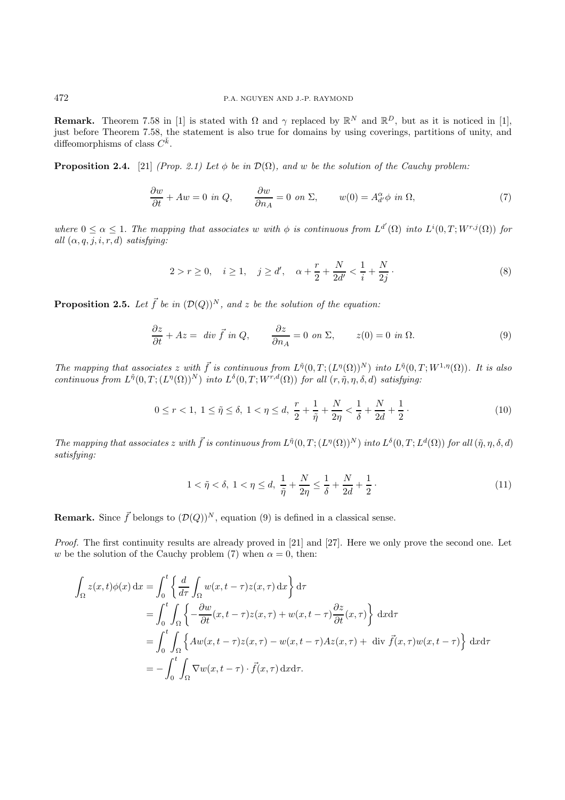**Remark.** Theorem 7.58 in [1] is stated with  $\Omega$  and  $\gamma$  replaced by  $\mathbb{R}^N$  and  $\mathbb{R}^D$ , but as it is noticed in [1], just before Theorem 7.58, the statement is also true for domains by using coverings, partitions of unity, and diffeomorphisms of class  $C^{\bar{k}}$ .

**Proposition 2.4.** [21] (Prop. 2.1) Let  $\phi$  be in  $\mathcal{D}(\Omega)$ , and w be the solution of the Cauchy problem:

$$
\frac{\partial w}{\partial t} + Aw = 0 \text{ in } Q, \qquad \frac{\partial w}{\partial n_A} = 0 \text{ on } \Sigma, \qquad w(0) = A_{d'}^{\alpha} \phi \text{ in } \Omega,
$$
 (7)

where  $0 \leq \alpha \leq 1$ . The mapping that associates w with  $\phi$  is continuous from  $L^{d'}(\Omega)$  into  $L^{i}(0,T;W^{r,j}(\Omega))$  for all  $(\alpha, q, j, i, r, d)$  satisfying:

$$
2 > r \ge 0, \quad i \ge 1, \quad j \ge d', \quad \alpha + \frac{r}{2} + \frac{N}{2d'} < \frac{1}{i} + \frac{N}{2j} \,. \tag{8}
$$

**Proposition 2.5.** Let  $\vec{f}$  be in  $(\mathcal{D}(Q))^N$ , and z be the solution of the equation:

$$
\frac{\partial z}{\partial t} + Az = \text{ div } \vec{f} \text{ in } Q, \qquad \frac{\partial z}{\partial n_A} = 0 \text{ on } \Sigma, \qquad z(0) = 0 \text{ in } \Omega. \tag{9}
$$

The mapping that associates z with  $\vec{f}$  is continuous from  $L^{\tilde{\eta}}(0,T; (L^{\eta}(\Omega))^{N})$  into  $L^{\tilde{\eta}}(0,T; W^{1,\eta}(\Omega))$ . It is also continuous from  $L^{\tilde{\eta}}(0,T;(L^{\eta}(\Omega))^N)$  into  $L^{\delta}(0,T;W^{r,d}(\Omega))$  for all  $(r,\tilde{\eta},\eta,\delta,d)$  satisfying:

$$
0 \le r < 1, \ 1 \le \tilde{\eta} \le \delta, \ 1 < \eta \le d, \ \frac{r}{2} + \frac{1}{\tilde{\eta}} + \frac{N}{2\eta} < \frac{1}{\delta} + \frac{N}{2d} + \frac{1}{2} \,. \tag{10}
$$

The mapping that associates z with  $\vec{f}$  is continuous from  $L^{\tilde{\eta}}(0,T; (L^{\eta}(\Omega))^N)$  into  $L^{\delta}(0,T; L^d(\Omega))$  for all  $(\tilde{\eta}, \eta, \delta, d)$ satisfying:

$$
1 < \tilde{\eta} < \delta, \ 1 < \eta \le d, \ \frac{1}{\tilde{\eta}} + \frac{N}{2\eta} \le \frac{1}{\delta} + \frac{N}{2d} + \frac{1}{2} \tag{11}
$$

**Remark.** Since  $\vec{f}$  belongs to  $(\mathcal{D}(Q))^N$ , equation (9) is defined in a classical sense.

Proof. The first continuity results are already proved in [21] and [27]. Here we only prove the second one. Let w be the solution of the Cauchy problem (7) when  $\alpha = 0$ , then:

$$
\int_{\Omega} z(x,t)\phi(x) dx = \int_{0}^{t} \left\{ \frac{d}{d\tau} \int_{\Omega} w(x,t-\tau)z(x,\tau) dx \right\} d\tau
$$
  
\n
$$
= \int_{0}^{t} \int_{\Omega} \left\{ -\frac{\partial w}{\partial t}(x,t-\tau)z(x,\tau) + w(x,t-\tau) \frac{\partial z}{\partial t}(x,\tau) \right\} dxd\tau
$$
  
\n
$$
= \int_{0}^{t} \int_{\Omega} \left\{ Aw(x,t-\tau)z(x,\tau) - w(x,t-\tau)Az(x,\tau) + \operatorname{div} \vec{f}(x,\tau)w(x,t-\tau) \right\} dxd\tau
$$
  
\n
$$
= -\int_{0}^{t} \int_{\Omega} \nabla w(x,t-\tau) \cdot \vec{f}(x,\tau) dxd\tau.
$$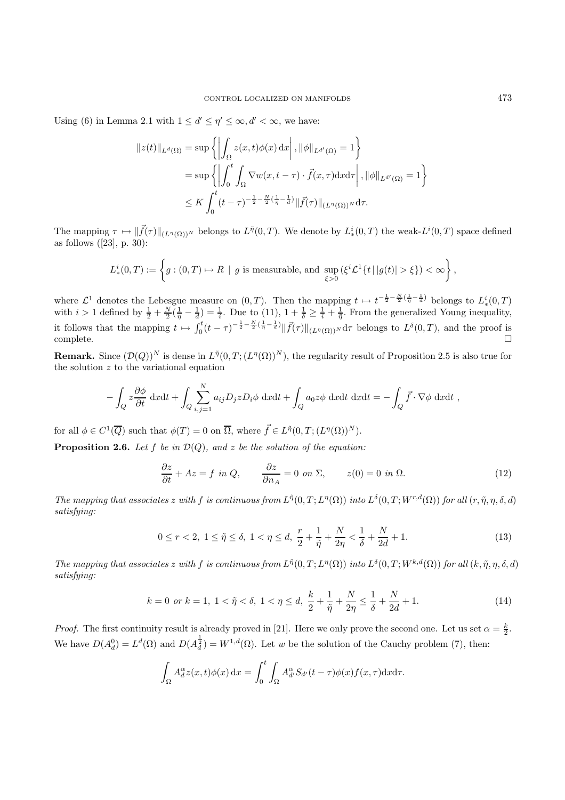Using (6) in Lemma 2.1 with  $1 \le d' \le \eta' \le \infty, d' < \infty$ , we have:

$$
||z(t)||_{L^{d}(\Omega)} = \sup \left\{ \left| \int_{\Omega} z(x, t) \phi(x) dx \right|, ||\phi||_{L^{d'}(\Omega)} = 1 \right\}
$$
  

$$
= \sup \left\{ \left| \int_{0}^{t} \int_{\Omega} \nabla w(x, t - \tau) \cdot \vec{f}(x, \tau) dx d\tau \right|, ||\phi||_{L^{d'}(\Omega)} = 1 \right\}
$$
  

$$
\leq K \int_{0}^{t} (t - \tau)^{-\frac{1}{2} - \frac{N}{2}(\frac{1}{\eta} - \frac{1}{d})} ||\vec{f}(\tau)||_{(L^{\eta}(\Omega))^{N}} d\tau.
$$

The mapping  $\tau \mapsto ||\vec{f}(\tau)||_{(L^{\eta}(\Omega))^N}$  belongs to  $L^{\tilde{\eta}}(0,T)$ . We denote by  $L^i_*(0,T)$  the weak- $L^i(0,T)$  space defined as follows  $([23], p. 30)$ :

$$
L^i_*(0,T) := \left\{ g : (0,T) \mapsto R \mid g \text{ is measurable, and } \sup_{\xi > 0} (\xi^i \mathcal{L}^1\{ t \mid |g(t)| > \xi \}) < \infty \right\},\
$$

where  $\mathcal{L}^1$  denotes the Lebesgue measure on  $(0,T)$ . Then the mapping  $t \mapsto t^{-\frac{1}{2}-\frac{N}{2}(\frac{1}{\eta}-\frac{1}{d})}$  belongs to  $L^i_*(0,T)$ with  $i > 1$  defined by  $\frac{1}{2} + \frac{N}{2}(\frac{1}{\eta} - \frac{1}{d}) = \frac{1}{i}$ . Due to (11),  $1 + \frac{1}{\delta} \ge \frac{1}{i} + \frac{1}{\tilde{\eta}}$ . From the generalized Young inequality, it follows that the mapping  $t \mapsto \int_0^t (t - \tau)^{-\frac{1}{2} - \frac{N}{2}(\frac{1}{\eta} - \frac{1}{d})} \|\vec{f}(\tau)\|_{(L^{\eta}(\Omega))^{N}} d\tau$  belongs to  $L^{\delta}(0,T)$ , and the proof is  $\Box$ complete.

**Remark.** Since  $(\mathcal{D}(Q))^N$  is dense in  $L^{\tilde{\eta}}(0,T;(L^{\eta}(\Omega))^N)$ , the regularity result of Proposition 2.5 is also true for the solution  $z$  to the variational equation

$$
-\int_{Q} z \frac{\partial \phi}{\partial t} dx dt + \int_{Q} \sum_{i,j=1}^{N} a_{ij} D_{j} z D_{i} \phi dx dt + \int_{Q} a_{0} z \phi dx dt dx dt = -\int_{Q} \vec{f} \cdot \nabla \phi dx dt,
$$

for all  $\phi \in C^1(\overline{Q})$  such that  $\phi(T) = 0$  on  $\overline{\Omega}$ , where  $\overrightarrow{f} \in L^{\tilde{\eta}}(0,T;(L^{\eta}(\Omega))^N)$ .

−

**Proposition 2.6.** Let f be in  $\mathcal{D}(Q)$ , and z be the solution of the equation:

$$
\frac{\partial z}{\partial t} + Az = f \text{ in } Q, \qquad \frac{\partial z}{\partial n_A} = 0 \text{ on } \Sigma, \qquad z(0) = 0 \text{ in } \Omega. \tag{12}
$$

The mapping that associates z with f is continuous from  $L^{\tilde{\eta}}(0,T;L^{\eta}(\Omega))$  into  $L^{\delta}(0,T;W^{r,d}(\Omega))$  for all  $(r,\tilde{\eta},\eta,\delta,d)$ satisfying:

$$
0 \le r < 2, \ 1 \le \tilde{\eta} \le \delta, \ 1 < \eta \le d, \ \frac{r}{2} + \frac{1}{\tilde{\eta}} + \frac{N}{2\eta} < \frac{1}{\delta} + \frac{N}{2d} + 1. \tag{13}
$$

The mapping that associates z with f is continuous from  $L^{\tilde{\eta}}(0,T;L^{\eta}(\Omega))$  into  $L^{\delta}(0,T;W^{k,d}(\Omega))$  for all  $(k,\tilde{\eta},\eta,\delta,d)$ satisfying:

$$
k = 0 \text{ or } k = 1, \ 1 < \tilde{\eta} < \delta, \ 1 < \eta \le d, \ \frac{k}{2} + \frac{1}{\tilde{\eta}} + \frac{N}{2\eta} \le \frac{1}{\delta} + \frac{N}{2d} + 1. \tag{14}
$$

*Proof.* The first continuity result is already proved in [21]. Here we only prove the second one. Let us set  $\alpha = \frac{k}{2}$ . We have  $D(A_d^0) = L^d(\Omega)$  and  $D(A_d^{\frac{1}{2}}) = W^{1,d}(\Omega)$ . Let w be the solution of the Cauchy problem (7), then:

$$
\int_{\Omega} A_d^{\alpha} z(x, t) \phi(x) dx = \int_0^t \int_{\Omega} A_{d'}^{\alpha} S_{d'}(t - \tau) \phi(x) f(x, \tau) dx d\tau.
$$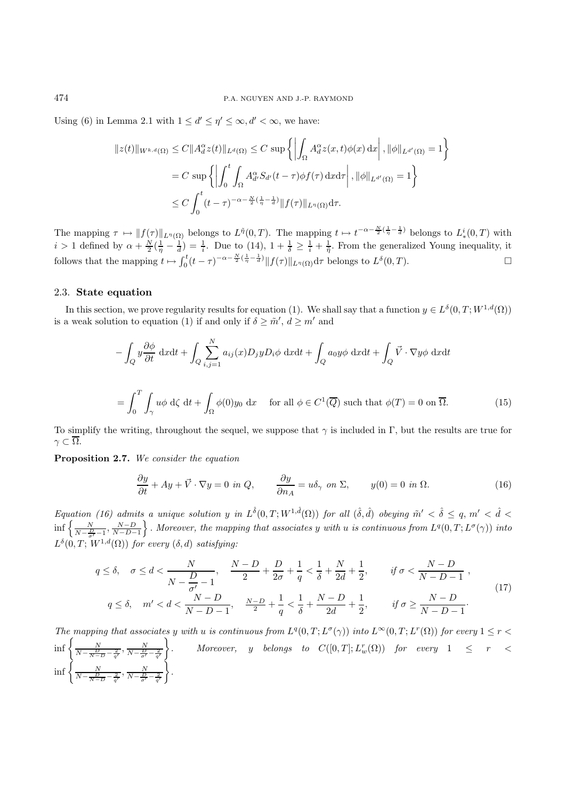Using (6) in Lemma 2.1 with  $1 \le d' \le \eta' \le \infty, d' < \infty$ , we have:

$$
||z(t)||_{W^{k,d}(\Omega)} \leq C||A_d^{\alpha}z(t)||_{L^d(\Omega)} \leq C \sup \left\{ \left| \int_{\Omega} A_d^{\alpha}z(x,t)\phi(x) dx \right|, ||\phi||_{L^{d'}(\Omega)} = 1 \right\}
$$
  

$$
= C \sup \left\{ \left| \int_0^t \int_{\Omega} A_{d'}^{\alpha} S_{d'}(t-\tau)\phi f(\tau) dx d\tau \right|, ||\phi||_{L^{d'}(\Omega)} = 1 \right\}
$$
  

$$
\leq C \int_0^t (t-\tau)^{-\alpha-\frac{N}{2}(\frac{1}{\eta}-\frac{1}{d})} ||f(\tau)||_{L^{\eta}(\Omega)} d\tau.
$$

The mapping  $\tau \mapsto ||f(\tau)||_{L^{\eta}(\Omega)}$  belongs to  $L^{\tilde{\eta}}(0,T)$ . The mapping  $t \mapsto t^{-\alpha-\frac{N}{2}(\frac{1}{\eta}-\frac{1}{d})}$  belongs to  $L^i_*(0,T)$  with  $i > 1$  defined by  $\alpha + \frac{N}{2}(\frac{1}{\eta} - \frac{1}{d}) = \frac{1}{i}$ . Due to (14),  $1 + \frac{1}{\delta} \geq \frac{1}{i} + \frac{1}{\tilde{\eta}}$ . From the generalized Young inequality, it follows that the mapping  $t \mapsto \int_0^t (t - \tau)^{-\alpha - \frac{N}{2}(\frac{1}{\eta} - \frac{1}{d})} ||f(\tau)||_{L^{\eta}(\Omega)} d\tau$  belongs to  $L^{\delta}(0,T)$ .

### 2.3. **State equation**

In this section, we prove regularity results for equation (1). We shall say that a function  $y \in L^{\delta}(0,T;W^{1,d}(\Omega))$ is a weak solution to equation (1) if and only if  $\delta \geq \tilde{m}'$ ,  $d \geq m'$  and

$$
-\int_{Q} y \frac{\partial \phi}{\partial t} dx dt + \int_{Q} \sum_{i,j=1}^{N} a_{ij}(x) D_{j} y D_{i} \phi dx dt + \int_{Q} a_{0} y \phi dx dt + \int_{Q} \vec{V} \cdot \nabla y \phi dx dt
$$

$$
= \int_{0}^{T} \int_{\gamma} u \phi d\zeta dt + \int_{\Omega} \phi(0) y_{0} dx \quad \text{for all } \phi \in C^{1}(\overline{Q}) \text{ such that } \phi(T) = 0 \text{ on } \overline{\Omega}. \tag{15}
$$

To simplify the writing, throughout the sequel, we suppose that  $\gamma$  is included in Γ, but the results are true for  $\gamma \subset \overline{\Omega}$ .

**Proposition 2.7.** We consider the equation

$$
\frac{\partial y}{\partial t} + Ay + \vec{V} \cdot \nabla y = 0 \text{ in } Q, \qquad \frac{\partial y}{\partial n_A} = u \delta_\gamma \text{ on } \Sigma, \qquad y(0) = 0 \text{ in } \Omega. \tag{16}
$$

Equation (16) admits a unique solution y in  $L^{\hat{\delta}}(0,T;W^{1,\hat{d}}(\Omega))$  for all  $(\hat{\delta},\hat{d})$  obeying  $\tilde{m}' < \hat{\delta} \leq q, m' < \hat{d} <$  $\inf \left\{\frac{N}{N-\frac{D}{\sigma'}-1}, \frac{N-D}{N-D-1}\right\}$ . Moreover, the mapping that associates y with u is continuous from  $L^q(0,T;L^{\sigma}(\gamma))$  into  $L^{\delta}(0,T;W^{1,d}(\Omega))$  for every  $(\delta, d)$  satisfying:

$$
q \leq \delta, \quad \sigma \leq d < \frac{N}{N - \frac{D}{\sigma'} - 1}, \quad \frac{N - D}{2} + \frac{D}{2\sigma} + \frac{1}{q} < \frac{1}{\delta} + \frac{N}{2d} + \frac{1}{2}, \quad \text{if } \sigma < \frac{N - D}{N - D - 1},
$$
\n
$$
q \leq \delta, \quad m' < d < \frac{N - D}{N - D - 1}, \quad \frac{N - D}{2} + \frac{1}{q} < \frac{1}{\delta} + \frac{N - D}{2d} + \frac{1}{2}, \quad \text{if } \sigma \geq \frac{N - D}{N - D - 1}.
$$
\n
$$
(17)
$$

The mapping that associates y with u is continuous from  $L^q(0,T;L^\sigma(\gamma))$  into  $L^\infty(0,T;L^r(\Omega))$  for every  $1 \leq r <$  $\inf \left\{ \frac{N}{N-\frac{D}{N-D}-\frac{2}{q'}}, \frac{N}{N-\frac{D}{\sigma'}-\frac{2}{q'}} \right\}$  $\mathcal{L}$  $.\qquad\textit{Moreover,}\quad y\quad\textit{belongs}\quad\textit{to}\quad C([0,T];L_w^r(\Omega))\quad\textit{for}\quad\textit{every}\quad 1\quad\leq\quad r\quad<\quad$  $\inf \left\{ \frac{N}{N-\frac{D}{N-D}-\frac{2}{q'}}, \frac{N}{N-\frac{D}{\sigma'}-\frac{2}{q'}} \right\}$  $\big\}$ .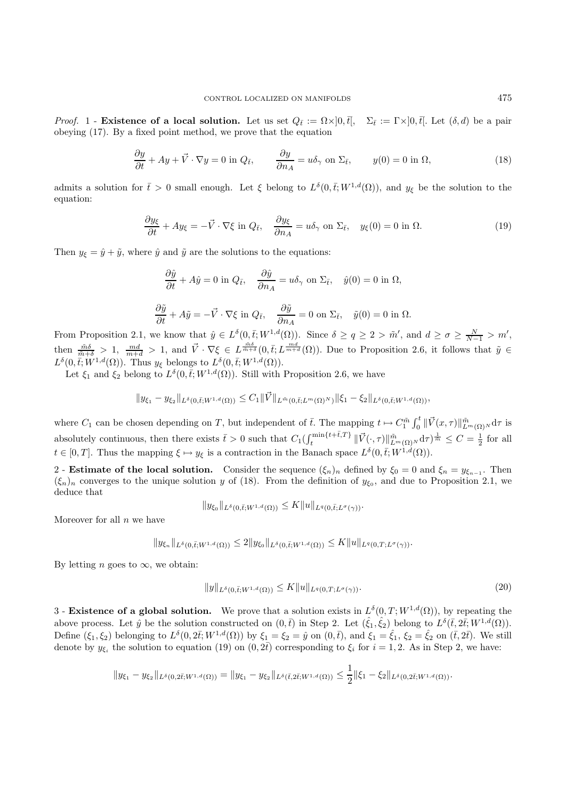Proof. 1 - **Existence of a local solution.** Let us set  $Q_{\bar{t}} := \Omega \times ]0, \bar{t}|$ ,  $\Sigma_{\bar{t}} := \Gamma \times ]0, \bar{t}|$ . Let  $(\delta, d)$  be a pair obeying (17). By a fixed point method, we prove that the equation

$$
\frac{\partial y}{\partial t} + Ay + \vec{V} \cdot \nabla y = 0 \text{ in } Q_{\bar{t}}, \qquad \frac{\partial y}{\partial n_A} = u \delta_\gamma \text{ on } \Sigma_{\bar{t}}, \qquad y(0) = 0 \text{ in } \Omega,
$$
\n(18)

admits a solution for  $\bar{t} > 0$  small enough. Let  $\xi$  belong to  $L^{\delta}(0,\bar{t};W^{1,d}(\Omega))$ , and  $y_{\xi}$  be the solution to the equation:

$$
\frac{\partial y_{\xi}}{\partial t} + Ay_{\xi} = -\vec{V} \cdot \nabla \xi \text{ in } Q_{\bar{t}}, \quad \frac{\partial y_{\xi}}{\partial n_A} = u\delta_{\gamma} \text{ on } \Sigma_{\bar{t}}, \quad y_{\xi}(0) = 0 \text{ in } \Omega.
$$
 (19)

Then  $y_{\xi} = \hat{y} + \tilde{y}$ , where  $\hat{y}$  and  $\tilde{y}$  are the solutions to the equations:

$$
\frac{\partial \hat{y}}{\partial t} + A\hat{y} = 0 \text{ in } Q_{\bar{t}}, \quad \frac{\partial \hat{y}}{\partial n_A} = u\delta_{\gamma} \text{ on } \Sigma_{\bar{t}}, \quad \hat{y}(0) = 0 \text{ in } \Omega,
$$
  

$$
\frac{\partial \tilde{y}}{\partial t} + A\tilde{y} = -\vec{V} \cdot \nabla \xi \text{ in } Q_{\bar{t}}, \quad \frac{\partial \tilde{y}}{\partial n_A} = 0 \text{ on } \Sigma_{\bar{t}}, \quad \tilde{y}(0) = 0 \text{ in } \Omega.
$$

From Proposition 2.1, we know that  $\hat{y} \in L^{\delta}(0,\bar{t};W^{1,d}(\Omega))$ . Since  $\delta \ge q \ge 2 > \tilde{m}'$ , and  $d \ge \sigma \ge \frac{N}{N-1} > m'$ , then  $\frac{\tilde{m}\delta}{\tilde{m}+\delta} > 1$ ,  $\frac{md}{m+d} > 1$ , and  $\vec{V} \cdot \nabla \xi \in L^{\frac{\tilde{m}\delta}{\tilde{m}+\delta}}(0,\bar{t};L^{\frac{md}{m+d}}(\Omega))$ . Due to Proposition 2.6, it follows that  $\tilde{y} \in$  $L^{\delta}(0,\bar{t};W^{1,d}(\Omega))$ . Thus  $y_{\xi}$  belongs to  $L^{\delta}(0,\bar{t};W^{1,d}(\Omega))$ .

Let  $\xi_1$  and  $\xi_2$  belong to  $L^{\delta}(0,\bar{t};W^{1,d}(\Omega))$ . Still with Proposition 2.6, we have

$$
||y_{\xi_1}-y_{\xi_2}||_{L^{\delta}(0,\bar{t};W^{1,d}(\Omega))}\leq C_1||\vec{V}||_{L^{\tilde{m}}(0,\bar{t};L^m(\Omega)^N)}||\xi_1-\xi_2||_{L^{\delta}(0,\bar{t};W^{1,d}(\Omega))},
$$

where  $C_1$  can be chosen depending on T, but independent of  $\bar{t}$ . The mapping  $t \mapsto C_1^{\tilde{m}} \int_0^t \| \vec{V}(x,\tau) \|_{L^m(\Omega)}^{\tilde{m}} d\tau$  is absolutely continuous, then there exists  $\bar{t} > 0$  such that  $C_1(\int_t^{\min\{t+\bar{t},T\}} \|\vec{V}(\cdot,\tau)\|_{L^m(\Omega)}^{\tilde{m}} d\tau)^{\frac{1}{m}} \leq C = \frac{1}{2}$  for all  $t \in [0,T]$ . Thus the mapping  $\xi \mapsto y_{\xi}$  is a contraction in the Banach space  $L^{\delta}(0,\bar{t};W^{1,d}(\Omega))$ .

2 - **Estimate of the local solution.** Consider the sequence  $(\xi_n)_n$  defined by  $\xi_0 = 0$  and  $\xi_n = y_{\xi_{n-1}}$ . Then  $(\xi_n)_n$  converges to the unique solution y of (18). From the definition of  $y_{\xi_0}$ , and due to Proposition 2.1, we deduce that

$$
||y_{\xi_0}||_{L^{\delta}(0,\bar{t};W^{1,d}(\Omega))} \leq K||u||_{L^q(0,\bar{t};L^{\sigma}(\gamma))}.
$$

Moreover for all  $n$  we have

$$
||y_{\xi_n}||_{L^{\delta}(0,\bar{t};W^{1,d}(\Omega))} \leq 2||y_{\xi_0}||_{L^{\delta}(0,\bar{t};W^{1,d}(\Omega))} \leq K||u||_{L^q(0,T;L^{\sigma}(\gamma))}.
$$

By letting *n* goes to  $\infty$ , we obtain:

$$
||y||_{L^{\delta}(0,\bar{t};W^{1,d}(\Omega))} \le K||u||_{L^{q}(0,T;L^{\sigma}(\gamma))}.
$$
\n(20)

3 - **Existence of a global solution.** We prove that a solution exists in  $L^{\delta}(0,T;W^{1,d}(\Omega))$ , by repeating the above process. Let  $\hat{y}$  be the solution constructed on  $(0,\bar{t})$  in Step 2. Let  $(\hat{\xi}_1, \hat{\xi}_2)$  belong to  $L^{\delta}(\bar{t}, 2\bar{t}; W^{1,d}(\Omega)).$ Define  $(\xi_1, \xi_2)$  belonging to  $L^{\delta}(0, 2\bar{t}; W^{1,d}(\Omega))$  by  $\xi_1 = \xi_2 = \hat{y}$  on  $(0, \bar{t})$ , and  $\xi_1 = \hat{\xi}_1$ ,  $\xi_2 = \hat{\xi}_2$  on  $(\bar{t}, 2\bar{t})$ . We still denote by  $y_{\xi_i}$  the solution to equation (19) on  $(0, 2\bar{t})$  corresponding to  $\xi_i$  for  $i = 1, 2$ . As in Step 2, we have:

$$
||y_{\xi_1} - y_{\xi_2}||_{L^{\delta}(0, 2\bar{t}; W^{1,d}(\Omega))} = ||y_{\xi_1} - y_{\xi_2}||_{L^{\delta}(\bar{t}, 2\bar{t}; W^{1,d}(\Omega))} \leq \frac{1}{2}||\xi_1 - \xi_2||_{L^{\delta}(0, 2\bar{t}; W^{1,d}(\Omega))}.
$$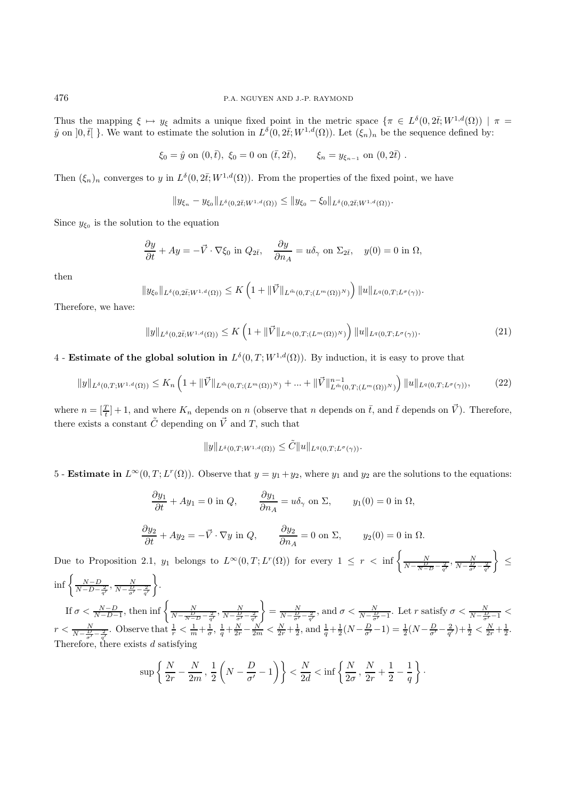Thus the mapping  $\xi \mapsto y_{\xi}$  admits a unique fixed point in the metric space  $\{\pi \in L^{\delta}(0, 2\overline{t}; W^{1,d}(\Omega)) \mid \pi =$  $\hat{y}$  on  $]0,\bar{t}[.\]$ . We want to estimate the solution in  $L^{\delta}(0,2\bar{t};W^{1,d}(\Omega))$ . Let  $(\xi_n)_n$  be the sequence defined by:

$$
\xi_0 = \hat{y}
$$
 on  $(0, \bar{t})$ ,  $\xi_0 = 0$  on  $(\bar{t}, 2\bar{t})$ ,  $\xi_n = y_{\xi_{n-1}}$  on  $(0, 2\bar{t})$ .

Then  $(\xi_n)_n$  converges to y in  $L^{\delta}(0, 2\bar{t}; W^{1,d}(\Omega))$ . From the properties of the fixed point, we have

$$
||y_{\xi_n} - y_{\xi_0}||_{L^{\delta}(0, 2\bar{t}; W^{1, d}(\Omega))} \le ||y_{\xi_0} - \xi_0||_{L^{\delta}(0, 2\bar{t}; W^{1, d}(\Omega))}.
$$

Since  $y_{\xi_0}$  is the solution to the equation

$$
\frac{\partial y}{\partial t} + Ay = -\vec{V} \cdot \nabla \xi_0 \text{ in } Q_{2\bar{t}}, \quad \frac{\partial y}{\partial n_A} = u\delta_\gamma \text{ on } \Sigma_{2\bar{t}}, \quad y(0) = 0 \text{ in } \Omega,
$$

then

$$
||y_{\xi_0}||_{L^{\delta}(0,2\bar{t};W^{1,d}(\Omega))} \leq K\left(1+\|\vec{V}\|_{L^{\bar{m}}(0,T;(L^m(\Omega))^N)}\right) ||u||_{L^{q}(0,T;L^{\sigma}(\gamma))}.
$$

Therefore, we have:

$$
||y||_{L^{\delta}(0,2\bar{t};W^{1,d}(\Omega))} \leq K\left(1+||\vec{V}||_{L^{\bar{m}}(0,T;(L^{m}(\Omega))^{N})}\right)||u||_{L^{q}(0,T;L^{\sigma}(\gamma))}.
$$
\n(21)

## 4 - **Estimate of the global solution in**  $L^{\delta}(0,T;W^{1,d}(\Omega))$ . By induction, it is easy to prove that

$$
||y||_{L^{\delta}(0,T;W^{1,d}(\Omega))} \leq K_n \left(1+||\vec{V}||_{L^{\vec{m}}(0,T;(L^m(\Omega))^N)}+\ldots+||\vec{V}||_{L^{\vec{m}}(0,T;(L^m(\Omega))^N)}^{\eta-1}\right)||u||_{L^q(0,T;L^{\sigma}(\gamma))},\tag{22}
$$

where  $n = \left[\frac{T}{t}\right] + 1$ , and where  $K_n$  depends on n (observe that n depends on  $\bar{t}$ , and  $\bar{t}$  depends on  $\vec{V}$ ). Therefore, there exists a constant  $\tilde{C}$  depending on  $\vec{V}$  and T, such that

$$
||y||_{L^{\delta}(0,T;W^{1,d}(\Omega))} \leq \tilde{C}||u||_{L^{q}(0,T;L^{\sigma}(\gamma))}.
$$

5 - **Estimate in**  $L^{\infty}(0,T;L^{r}(\Omega))$ . Observe that  $y = y_1 + y_2$ , where  $y_1$  and  $y_2$  are the solutions to the equations:

$$
\frac{\partial y_1}{\partial t} + Ay_1 = 0 \text{ in } Q, \qquad \frac{\partial y_1}{\partial n_A} = u\delta_\gamma \text{ on } \Sigma, \qquad y_1(0) = 0 \text{ in } \Omega,
$$

$$
\frac{\partial y_2}{\partial t} + Ay_2 = -\vec{V} \cdot \nabla y \text{ in } Q, \qquad \frac{\partial y_2}{\partial n_A} = 0 \text{ on } \Sigma, \qquad y_2(0) = 0 \text{ in } \Omega.
$$

Due to Proposition 2.1,  $y_1$  belongs to  $L^{\infty}(0,T;L^r(\Omega))$  for every  $1 \leq r < \inf \left\{ \frac{N}{N-\frac{D}{N-D}-\frac{2}{q'}}, \frac{N}{N-\frac{D}{q'}-\frac{2}{q'}} \right\}$  ≤  $\inf \left\{ \frac{N-D}{N-D-\frac{2}{q'}}, \frac{N}{N-\frac{D}{\sigma'}-\frac{2}{q'}} \right\}$  . If  $\sigma < \frac{N-D}{N-D-1}$ , then  $\inf \left\{ \frac{N}{N-\frac{D}{N-D}-\frac{2}{q'}} , \frac{N}{N-\frac{D}{\sigma'}-\frac{2}{q'}} \right\}$  $\left\{\frac{N}{N-\frac{D}{\sigma'}-\frac{2}{q'}}\right\}$ , and  $\sigma<\frac{N}{N-\frac{D}{\sigma'}-1}$ . Let r satisfy  $\sigma<\frac{N}{N-\frac{D}{\sigma'}-1}<$  $r < \frac{N}{N-\frac{D}{\sigma'}-\frac{2}{q'}}$ . Observe that  $\frac{1}{r} < \frac{1}{m}+\frac{1}{\sigma}, \frac{1}{q}+\frac{N}{2r}-\frac{N}{2m} < \frac{N}{2r}+\frac{1}{2}$ , and  $\frac{1}{q}+\frac{1}{2}(N-\frac{D}{\sigma'}-1) = \frac{1}{2}(N-\frac{D}{\sigma'}-\frac{2}{q'})+\frac{1}{2} < \frac{N}{2r}+\frac{1}{2}$ . Therefore, there exists  $d$  satisfying

$$
\sup \left\{ \frac{N}{2r} - \frac{N}{2m}, \frac{1}{2} \left( N - \frac{D}{\sigma'} - 1 \right) \right\} < \frac{N}{2d} < \inf \left\{ \frac{N}{2\sigma}, \frac{N}{2r} + \frac{1}{2} - \frac{1}{q} \right\}.
$$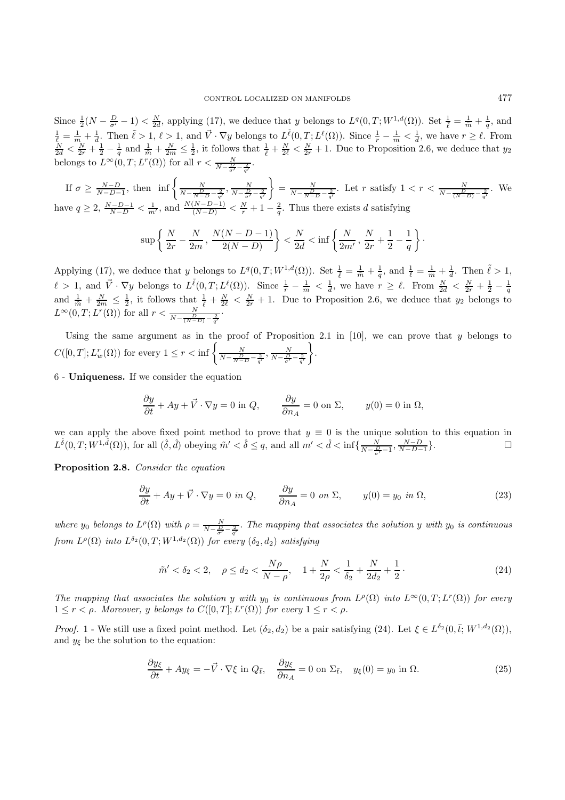Since  $\frac{1}{2}(N-\frac{D}{\sigma'}-1) < \frac{N}{2d}$ , applying (17), we deduce that y belongs to  $L^q(0,T;W^{1,d}(\Omega))$ . Set  $\frac{1}{\ell} = \frac{1}{\tilde{m}} + \frac{1}{q}$ , and  $\frac{1}{\ell} = \frac{1}{m} + \frac{1}{d}$ . Then  $\tilde{\ell} > 1$ ,  $\ell > 1$ , and  $\vec{V} \cdot \nabla y$  belongs to  $L^{\tilde{\ell}}(0,T;L^{\ell}(\Omega))$ . Since  $\frac{1}{r} - \frac{1}{m} < \frac{1}{d}$ , we have  $r \geq \ell$ . From  $\frac{N}{2d} < \frac{N}{2r} + \frac{1}{2} - \frac{1}{q}$  and  $\frac{1}{\tilde{m}} + \frac{$ belongs to  $L^{\infty}(0,T; L^r(\Omega))$  for all  $r < \frac{N}{N - \frac{D}{\sigma'} - \frac{2}{q'}}$ .

If  $\sigma \ge \frac{N-D}{N-D-1}$ , then  $\inf \left\{ \frac{N}{N-\frac{D}{N-D}-\frac{2}{q'}} , \frac{N}{N-\frac{D}{\sigma'}-\frac{2}{q'}} \right\}$  $\left\{\right\} = \frac{N}{N - \frac{D}{N - D} - \frac{2}{q'}}$ . Let r satisfy  $1 < r < \frac{N}{N - \frac{D}{(N - D)} - \frac{2}{q'}}$ . We have  $q \ge 2$ ,  $\frac{N-D-1}{N-D} < \frac{1}{m'}$ , and  $\frac{N(N-D-1)}{(N-D)} < \frac{N}{r} + 1 - \frac{2}{q}$ . Thus there exists d satisfying

$$
\sup \left\{ \frac{N}{2r} - \frac{N}{2m}, \frac{N(N - D - 1)}{2(N - D)} \right\} < \frac{N}{2d} < \inf \left\{ \frac{N}{2m'}, \frac{N}{2r} + \frac{1}{2} - \frac{1}{q} \right\}.
$$

Applying (17), we deduce that y belongs to  $L^q(0,T;W^{1,d}(\Omega))$ . Set  $\frac{1}{\ell} = \frac{1}{\tilde{m}} + \frac{1}{q}$ , and  $\frac{1}{\ell} = \frac{1}{m} + \frac{1}{d}$ . Then  $\tilde{\ell} > 1$ ,  $\ell > 1$ , and  $\vec{V} \cdot \nabla y$  belongs to  $L^{\tilde{\ell}}(0,T;L^{\ell}(\Omega))$ . Since  $\frac{1}{r} - \frac{1}{m} < \frac{1}{d}$ , we have  $r \geq \ell$ . From  $\frac{N}{2d} < \frac{N}{2r} + \frac{1}{2} - \frac{1}{q}$ <br>and  $\frac{1}{\tilde{m}} + \frac{N}{2m} \leq \frac{1}{2}$ , it follows that  $\frac{1}{\ell} + \frac$  $L^{\infty}(0,T;L^r(\Omega))$  for all  $r < \frac{N}{N - \frac{D}{(N-D)} - \frac{2}{q'}}$ .

Using the same argument as in the proof of Proposition 2.1 in [10], we can prove that  $y$  belongs to  $C([0,T];L_w^r(\Omega))$  for every  $1 \leq r < \inf\left\{\frac{N}{N-\frac{D}{N-D}-\frac{2}{q'}},\frac{N}{N-\frac{D}{\sigma'}-\frac{2}{q'}}\right\}$  $\big\}$ .

6 - **Uniqueness.** If we consider the equation

$$
\frac{\partial y}{\partial t} + Ay + \vec{V} \cdot \nabla y = 0 \text{ in } Q, \qquad \frac{\partial y}{\partial n_A} = 0 \text{ on } \Sigma, \qquad y(0) = 0 \text{ in } \Omega,
$$

we can apply the above fixed point method to prove that  $y \equiv 0$  is the unique solution to this equation in  $L^{\hat{\delta}}(0,T;W^{1,\hat{d}}(\Omega))$ , for all  $(\hat{\delta},\hat{d})$  obeying  $\tilde{m}' < \hat{\delta} \leq q$ , and all  $m' < \hat{d} < \inf\{\frac{N}{N-\frac{D}{\sigma'}-1}, \frac{N-D}{N-D-1}\}.$ 

**Proposition 2.8.** Consider the equation

$$
\frac{\partial y}{\partial t} + Ay + \vec{V} \cdot \nabla y = 0 \text{ in } Q, \qquad \frac{\partial y}{\partial n_A} = 0 \text{ on } \Sigma, \qquad y(0) = y_0 \text{ in } \Omega,
$$
 (23)

where y<sub>0</sub> belongs to  $L^{\rho}(\Omega)$  with  $\rho = \frac{N}{N-\frac{D}{\sigma'}-\frac{2}{q'}}$ . The mapping that associates the solution y with y<sub>0</sub> is continuous from  $L^{\rho}(\Omega)$  into  $L^{\delta_2}(0,T;W^{1,d_2}(\Omega))$  for every  $(\delta_2,d_2)$  satisfying

$$
\tilde{m}' < \delta_2 < 2, \quad \rho \le d_2 < \frac{N\rho}{N-\rho}, \quad 1 + \frac{N}{2\rho} < \frac{1}{\delta_2} + \frac{N}{2d_2} + \frac{1}{2} \,. \tag{24}
$$

The mapping that associates the solution y with y<sub>0</sub> is continuous from  $L^{\rho}(\Omega)$  into  $L^{\infty}(0,T;L^{r}(\Omega))$  for every  $1 \leq r < \rho$ . Moreover, y belongs to  $C([0, T]; L^r(\Omega))$  for every  $1 \leq r < \rho$ .

*Proof.* 1 - We still use a fixed point method. Let  $(\delta_2, d_2)$  be a pair satisfying (24). Let  $\xi \in L^{\delta_2}(0, \bar{t}; W^{1,d_2}(\Omega))$ , and  $y_{\xi}$  be the solution to the equation:

$$
\frac{\partial y_{\xi}}{\partial t} + Ay_{\xi} = -\vec{V} \cdot \nabla \xi \text{ in } Q_{\bar{t}}, \quad \frac{\partial y_{\xi}}{\partial n_A} = 0 \text{ on } \Sigma_{\bar{t}}, \quad y_{\xi}(0) = y_0 \text{ in } \Omega. \tag{25}
$$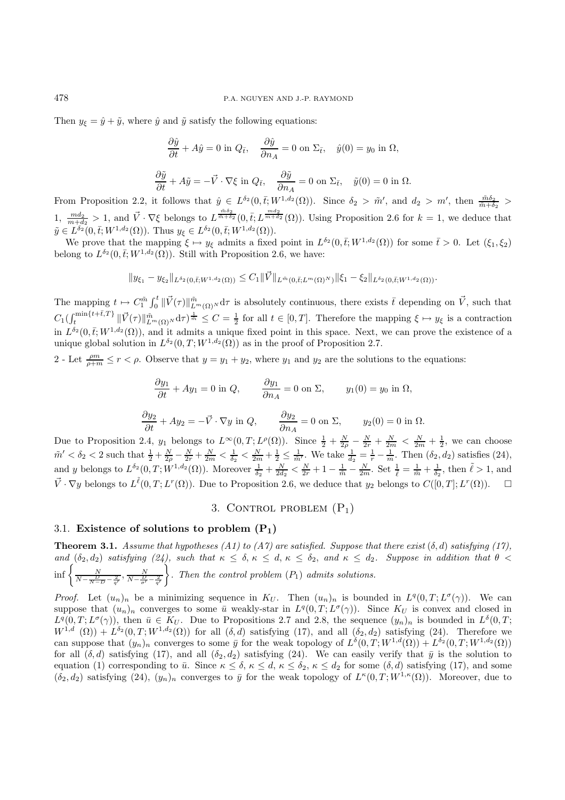Then  $y_{\xi} = \hat{y} + \tilde{y}$ , where  $\hat{y}$  and  $\tilde{y}$  satisfy the following equations:

$$
\frac{\partial \hat{y}}{\partial t} + A\hat{y} = 0 \text{ in } Q_{\bar{t}}, \quad \frac{\partial \hat{y}}{\partial n_A} = 0 \text{ on } \Sigma_{\bar{t}}, \quad \hat{y}(0) = y_0 \text{ in } \Omega,
$$

$$
\frac{\partial \tilde{y}}{\partial t} + A\tilde{y} = -\vec{V} \cdot \nabla \xi \text{ in } Q_{\bar{t}}, \quad \frac{\partial \tilde{y}}{\partial n_A} = 0 \text{ on } \Sigma_{\bar{t}}, \quad \tilde{y}(0) = 0 \text{ in } \Omega.
$$

From Proposition 2.2, it follows that  $\hat{y} \in L^{\delta_2}(0,\bar{t};W^{1,d_2}(\Omega))$ . Since  $\delta_2 > \tilde{m}'$ , and  $d_2 > m'$ , then  $\frac{\tilde{m}\delta_2}{\tilde{m}+\delta_2}$ 1,  $\frac{md_2}{m+d_2} > 1$ , and  $\vec{V} \cdot \nabla \xi$  belongs to  $L^{\frac{\tilde{m}\delta_2}{\tilde{m}+\delta_2}}(0,\bar{t};L^{\frac{md_2}{m+d_2}}(\Omega))$ . Using Proposition 2.6 for  $k=1$ , we deduce that  $\tilde{y} \in L^{\delta_2}(0, \bar{t}; W^{1,d_2}(\Omega))$ . Thus  $y_{\xi} \in L^{\delta_2}(0, \bar{t}; W^{1,d_2}(\Omega))$ .

We prove that the mapping  $\xi \mapsto y_{\xi}$  admits a fixed point in  $L^{\delta_2}(0,\bar{t};W^{1,d_2}(\Omega))$  for some  $\bar{t} > 0$ . Let  $(\xi_1, \xi_2)$ belong to  $L^{\delta_2}(0,\bar{t};W^{1,d_2}(\Omega))$ . Still with Proposition 2.6, we have:

$$
\|y_{\xi_1} - y_{\xi_2}\|_{L^{\delta_2}(0,\bar{t};W^{1,d_2}(\Omega))} \leq C_1 \|\vec{V}\|_{L^{\tilde{m}}(0,\bar{t};L^m(\Omega)^N)} \|\xi_1 - \xi_2\|_{L^{\delta_2}(0,\bar{t};W^{1,d_2}(\Omega))}.
$$

The mapping  $t \mapsto C_1^{\tilde{m}} \int_0^t \|\vec{V}(\tau)\|_{L^m(\Omega)}^{\tilde{m}} d\tau$  is absolutely continuous, there exists  $\bar{t}$  depending on  $\vec{V}$ , such that  $C_1(\int_t^{\min\{t+\bar{t},T\}} \|\vec{V}(\tau)\|_{L^m(\Omega)}^{\tilde{m}} d\tau)^{\frac{1}{\tilde{m}}} \leq C = \frac{1}{2}$  for all  $t \in [0,T]$ . Therefore the mapping  $\xi \mapsto y_{\xi}$  is a contraction in  $L^{\delta_2}(0,\bar{t};W^{1,d_2}(\Omega))$ , and it admits a unique fixed point in this space. Next, we can prove the existence of a unique global solution in  $L^{\delta_2}(0,T;W^{1,d_2}(\Omega))$  as in the proof of Proposition 2.7.

2 - Let  $\frac{\rho m}{\rho+m} \leq r < \rho$ . Observe that  $y = y_1 + y_2$ , where  $y_1$  and  $y_2$  are the solutions to the equations:

$$
\frac{\partial y_1}{\partial t} + Ay_1 = 0 \text{ in } Q, \qquad \frac{\partial y_1}{\partial n_A} = 0 \text{ on } \Sigma, \qquad y_1(0) = y_0 \text{ in } \Omega,
$$
  

$$
\frac{\partial y_2}{\partial t} + Ay_2 = -\vec{V} \cdot \nabla y \text{ in } Q, \qquad \frac{\partial y_2}{\partial n_A} = 0 \text{ on } \Sigma, \qquad y_2(0) = 0 \text{ in } \Omega.
$$

Due to Proposition 2.4,  $y_1$  belongs to  $L^{\infty}(0,T; L^{\rho}(\Omega))$ . Since  $\frac{1}{2} + \frac{N}{2\rho} - \frac{N}{2r} + \frac{N}{2m} < \frac{N}{2m} + \frac{1}{2}$ , we can choose  $\tilde{m}' < \delta_2 < 2$  such that  $\frac{1}{2} + \frac{N}{2\rho} - \frac{N}{2r} + \frac{N}{2m} < \frac{1}{\delta_2} < \frac{N}{2m} + \frac{1}{2} \le \frac{1}{\tilde{m}'}$ . We take  $\frac{1}{d_2} = \frac{1}{r} - \frac{1}{m}$ . Then  $(\delta_2, d_2)$  satisfies  $(24)$ , and y belongs to  $L^{\delta_2}(0,T;W^{1,d_2}(\Omega))$ . Moreover  $\frac{1}{\delta_2}+\frac{N}{2d_2}<\frac{N}{2r}+1-\frac{1}{\tilde{m}}-\frac{N}{2m}$ . Set  $\frac{1}{\ell}=\frac{1}{\tilde{m}}+\frac{1}{\delta_2}$ , then  $\tilde{\ell}>1$ , and  $\vec{V} \cdot \nabla y$  belongs to  $L^{\tilde{\ell}}(0,T;L^r(\Omega))$ . Due to Proposition 2.6, we deduce that  $y_2$  belongs to  $C([0,T];L^r(\Omega))$ .  $\Box$ 

3. CONTROL PROBLEM  $(P_1)$ 

## 3.1. **Existence of solutions to problem (P1)**

**Theorem 3.1.** Assume that hypotheses (A1) to (A7) are satisfied. Suppose that there exist  $(\delta, d)$  satisfying (17), and  $(\delta_2, d_2)$  satisfying (24), such that  $\kappa \leq \delta, \kappa \leq d, \kappa \leq \delta_2$ , and  $\kappa \leq d_2$ . Suppose in addition that  $\theta$  $\inf \left\{ \frac{N}{N-\frac{D}{N-D}-\frac{2}{q'}}, \frac{N}{N-\frac{D}{\sigma'}-\frac{2}{q'}} \right\}$  $\Big\}$ . Then the control problem  $(P_1)$  admits solutions.

*Proof.* Let  $(u_n)_n$  be a minimizing sequence in  $K_U$ . Then  $(u_n)_n$  is bounded in  $L^q(0,T;L^{\sigma}(\gamma))$ . We can suppose that  $(u_n)_n$  converges to some  $\bar{u}$  weakly-star in  $L^q(0,T;L^{\sigma}(\gamma))$ . Since  $K_U$  is convex and closed in  $L^q(0,T;L^{\sigma}(\gamma))$ , then  $\bar{u} \in K_U$ . Due to Propositions 2.7 and 2.8, the sequence  $(y_n)_n$  is bounded in  $L^{\delta}(0,T;$  $W^{1,d}(\Omega)$  +  $L^{\delta_2}(0,T;W^{1,d_2}(\Omega))$  for all  $(\delta, d)$  satisfying (17), and all  $(\delta_2, d_2)$  satisfying (24). Therefore we can suppose that  $(y_n)_n$  converges to some  $\bar{y}$  for the weak topology of  $L^{\delta}(0,T;W^{1,d}(\Omega)) + L^{\delta_2}(0,T;W^{1,d_2}(\Omega))$ for all  $(\delta, d)$  satisfying (17), and all  $(\delta_2, d_2)$  satisfying (24). We can easily verify that  $\bar{y}$  is the solution to equation (1) corresponding to  $\bar{u}$ . Since  $\kappa \leq \delta, \kappa \leq d, \kappa \leq \delta_2, \kappa \leq d_2$  for some  $(\delta, d)$  satisfying (17), and some  $(\delta_2, d_2)$  satisfying (24),  $(y_n)_n$  converges to  $\bar{y}$  for the weak topology of  $L^{\kappa}(0,T;W^{1,\kappa}(\Omega))$ . Moreover, due to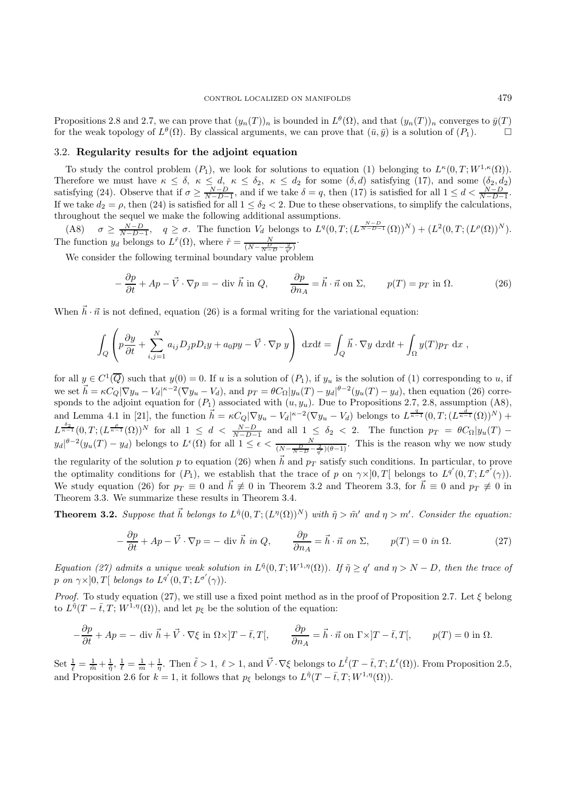Propositions 2.8 and 2.7, we can prove that  $(y_n(T))_n$  is bounded in  $L^{\theta}(\Omega)$ , and that  $(y_n(T))_n$  converges to  $\bar{y}(T)$ for the weak topology of  $L^{\theta}(\Omega)$ . By classical arguments, we can prove that  $(\bar{u}, \bar{y})$  is a solution of  $(P_1)$ .

## 3.2. **Regularity results for the adjoint equation**

To study the control problem  $(P_1)$ , we look for solutions to equation (1) belonging to  $L^{\kappa}(0,T;W^{1,\kappa}(\Omega))$ . Therefore we must have  $\kappa \leq \delta$ ,  $\kappa \leq d$ ,  $\kappa \leq \delta_2$ ,  $\kappa \leq d_2$  for some  $(\delta, d)$  satisfying (17), and some  $(\delta_2, d_2)$ satisfying (24). Observe that if  $\sigma \ge \frac{N-D}{N-D-1}$ , and if we take  $\delta = q$ , then (17) is satisfied for all  $1 \le d < \frac{N-D}{N-D-1}$ . If we take  $d_2 = \rho$ , then (24) is satisfied for all  $1 \leq \delta_2 < 2$ . Due to these observations, to simplify the calculations, throughout the sequel we make the following additional assumptions.

(A8)  $\sigma \geq \frac{N-D}{N-D-1}$ ,  $q \geq \sigma$ . The function  $V_d$  belongs to  $L^q(0,T;(L^{\frac{N-D}{N-D-1}}(\Omega))^N) + (L^2(0,T;(L^{\rho}(\Omega))^N)$ . The function  $y_d$  belongs to  $L^{\hat{r}}(\Omega)$ , where  $\hat{r} = \frac{N}{(N - \frac{D}{N - D} - \frac{2}{q'})}$ .

We consider the following terminal boundary value problem

$$
-\frac{\partial p}{\partial t} + Ap - \vec{V} \cdot \nabla p = -\text{ div } \vec{h} \text{ in } Q, \qquad \frac{\partial p}{\partial n_A} = \vec{h} \cdot \vec{n} \text{ on } \Sigma, \qquad p(T) = p_T \text{ in } \Omega. \tag{26}
$$

When  $\vec{h} \cdot \vec{n}$  is not defined, equation (26) is a formal writing for the variational equation:

$$
\int_{Q} \left( p \frac{\partial y}{\partial t} + \sum_{i,j=1}^{N} a_{ij} D_j p D_i y + a_0 p y - \vec{V} \cdot \nabla p \ y \right) dx dt = \int_{Q} \vec{h} \cdot \nabla y dx dt + \int_{\Omega} y(T) p_T dx,
$$

for all  $y \in C^1(\overline{Q})$  such that  $y(0) = 0$ . If u is a solution of  $(P_1)$ , if  $y_u$  is the solution of  $(1)$  corresponding to u, if we set  $\vec{h} = \kappa C_Q |\nabla y_u - V_d|^{k-2} (\nabla y_u - V_d)$ , and  $p_T = \theta C_\Omega |y_u(T) - y_d|^{k-2} (y_u(T) - y_d)$ , then equation (26) corresponds to the adjoint equation for  $(P_1)$  associated with  $(u, y_u)$ . Due to Propositions 2.7, 2.8, assumption (A8), and Lemma 4.1 in [21], the function  $\vec{h} = \kappa C_Q |\nabla y_u - V_d|^{k-2} (\nabla y_u - V_d)$  belongs to  $L^{\frac{q}{k-1}}(0,T; (L^{\frac{d}{k-1}}(\Omega))^N)$  +  $L^{\frac{\delta_2}{\kappa-1}}(0,T;(L^{\frac{\rho}{\kappa-1}}(\Omega))^N$  for all  $1 \leq d < \frac{N-D}{N-D-1}$  and all  $1 \leq \delta_2 < 2$ . The function  $p_T = \theta C_{\Omega}|y_u(T) - y_v(T)|$  $y_d\vert^{\theta-2}(y_u(T)-y_d)$  belongs to  $L^{\epsilon}(\Omega)$  for all  $1 \leq \epsilon < \frac{N}{(N-\frac{D}{N-D}-\frac{2}{q'})(\theta-1)}$ . This is the reason why we now study the regularity of the solution p to equation (26) when  $\vec{h}$  and  $p_T$  satisfy such conditions. In particular, to prove the optimality conditions for  $(P_1)$ , we establish that the trace of p on  $\gamma \times ]0,T[$  belongs to  $L^{q'}(0,T; L^{\sigma'}(\gamma))$ . We study equation (26) for  $p_T \equiv 0$  and  $\vec{h} \not\equiv 0$  in Theorem 3.2 and Theorem 3.3, for  $\vec{h} \equiv 0$  and  $p_T \not\equiv 0$  in Theorem 3.3. We summarize these results in Theorem 3.4.

**Theorem 3.2.** Suppose that  $\vec{h}$  belongs to  $L^{\tilde{\eta}}(0,T;(L^{\eta}(\Omega))^N)$  with  $\tilde{\eta} > \tilde{m}'$  and  $\eta > m'$ . Consider the equation:

$$
-\frac{\partial p}{\partial t} + Ap - \vec{V} \cdot \nabla p = -\text{ div } \vec{h} \text{ in } Q, \qquad \frac{\partial p}{\partial n_A} = \vec{h} \cdot \vec{n} \text{ on } \Sigma, \qquad p(T) = 0 \text{ in } \Omega. \tag{27}
$$

Equation (27) admits a unique weak solution in  $L^{\tilde{\eta}}(0,T;W^{1,\eta}(\Omega))$ . If  $\tilde{\eta} > q'$  and  $\eta > N - D$ , then the trace of p on  $\gamma \times ]0,T[$  belongs to  $L^{q'}(0,T;L^{\sigma'}(\gamma))$ .

*Proof.* To study equation (27), we still use a fixed point method as in the proof of Proposition 2.7. Let  $\xi$  belong to  $L^{\tilde{\eta}}(T - \bar{t}, T; W^{1,\eta}(\Omega))$ , and let  $p_{\xi}$  be the solution of the equation:

$$
-\frac{\partial p}{\partial t} + Ap = -\operatorname{div} \vec{h} + \vec{V} \cdot \nabla \xi \text{ in } \Omega \times ]T - \bar{t}, T[, \qquad \frac{\partial p}{\partial n_A} = \vec{h} \cdot \vec{n} \text{ on } \Gamma \times ]T - \bar{t}, T[, \qquad p(T) = 0 \text{ in } \Omega.
$$

Set  $\frac{1}{\ell} = \frac{1}{\tilde{m}} + \frac{1}{\tilde{\eta}}, \frac{1}{\ell} = \frac{1}{m} + \frac{1}{\eta}$ . Then  $\tilde{\ell} > 1$ ,  $\ell > 1$ , and  $\vec{V} \cdot \nabla \xi$  belongs to  $L^{\tilde{\ell}}(T - \bar{t}, T; L^{\ell}(\Omega))$ . From Proposition 2.5, and Proposition 2.6 for  $k = 1$ , it follows that  $p_{\xi}$  belongs to  $L^{\tilde{\eta}}(T - \bar{t}, T; W^{1, \eta}(\Omega)).$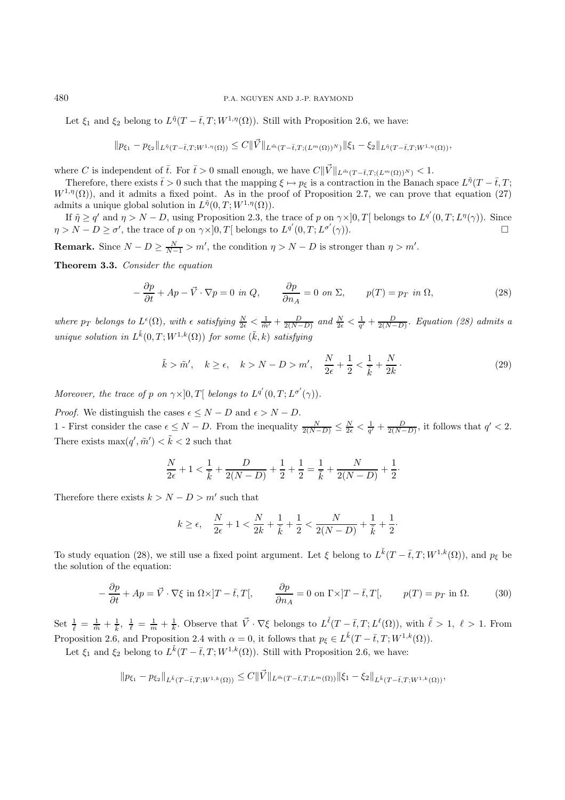Let  $\xi_1$  and  $\xi_2$  belong to  $L^{\tilde{\eta}}(T - \bar{t}, T; W^{1,\eta}(\Omega))$ . Still with Proposition 2.6, we have:

$$
||p_{\xi_1}-p_{\xi_2}||_{L^{\bar{\eta}}(T-\bar{t},T;W^{1,\eta}(\Omega))} \leq C||\vec{V}||_{L^{\bar{m}}(T-\bar{t},T;(L^m(\Omega))^N)}||\xi_1-\xi_2||_{L^{\bar{\eta}}(T-\bar{t},T;W^{1,\eta}(\Omega))},
$$

where C is independent of  $\bar{t}$ . For  $\bar{t} > 0$  small enough, we have  $C\|\vec{V}\|_{L^{\bar{m}}(T-\bar{t},T;(L^m(\Omega))^N)} < 1$ .

Therefore, there exists  $\bar{t} > 0$  such that the mapping  $\xi \mapsto p_{\xi}$  is a contraction in the Banach space  $L^{\tilde{\eta}}(T - \bar{t}, T; \bar{t})$  $W^{1,\eta}(\Omega)$ , and it admits a fixed point. As in the proof of Proposition 2.7, we can prove that equation (27) admits a unique global solution in  $L^{\tilde{\eta}}(0,T;W^{1,\eta}(\Omega)).$ 

If  $\tilde{\eta} \ge q'$  and  $\eta > N - D$ , using Proposition 2.3, the trace of p on  $\gamma \times ]0, T[$  belongs to  $L^{q'}(0,T;L^{\eta}(\gamma))$ . Since  $\eta > N - D \ge \sigma'$ , the trace of p on  $\gamma \times ]0, T[$  belongs to  $L^{q'}(0,T; L^{\sigma'}(\gamma))$ .

**Remark.** Since  $N - D \ge \frac{N}{N-1} > m'$ , the condition  $\eta > N - D$  is stronger than  $\eta > m'$ .

**Theorem 3.3.** Consider the equation

$$
-\frac{\partial p}{\partial t} + Ap - \vec{V} \cdot \nabla p = 0 \text{ in } Q, \qquad \frac{\partial p}{\partial n_A} = 0 \text{ on } \Sigma, \qquad p(T) = p_T \text{ in } \Omega,
$$
 (28)

where  $p_T$  belongs to  $L^{\epsilon}(\Omega)$ , with  $\epsilon$  satisfying  $\frac{N}{2\epsilon} < \frac{1}{\tilde{m}'} + \frac{D}{2(N-D)}$  and  $\frac{N}{2\epsilon} < \frac{1}{q'} + \frac{D}{2(N-D)}$ . Equation (28) admits a unique solution in  $L^{\tilde{k}}(0,T;W^{1,k}(\Omega))$  for some  $(\tilde{k},k)$  satisfying

$$
\tilde{k} > \tilde{m}', \quad k \ge \epsilon, \quad k > N - D > m', \quad \frac{N}{2\epsilon} + \frac{1}{2} < \frac{1}{\tilde{k}} + \frac{N}{2k} \,. \tag{29}
$$

Moreover, the trace of p on  $\gamma \times ]0,T[$  belongs to  $L^{q'}(0,T;L^{\sigma'}(\gamma))$ .

*Proof.* We distinguish the cases  $\epsilon \leq N - D$  and  $\epsilon > N - D$ .

1 - First consider the case  $\epsilon \le N - D$ . From the inequality  $\frac{N}{2(N-D)} \le \frac{N}{2\epsilon} < \frac{1}{q'} + \frac{D}{2(N-D)}$ , it follows that  $q' < 2$ . There exists  $\max(q', \tilde{m}') < \tilde{k} < 2$  such that

$$
\frac{N}{2\epsilon} + 1 < \frac{1}{\tilde{k}} + \frac{D}{2(N - D)} + \frac{1}{2} + \frac{1}{2} = \frac{1}{\tilde{k}} + \frac{N}{2(N - D)} + \frac{1}{2}.
$$

Therefore there exists  $k > N - D > m'$  such that

$$
k \ge \epsilon
$$
,  $\frac{N}{2\epsilon} + 1 < \frac{N}{2k} + \frac{1}{\tilde{k}} + \frac{1}{2} < \frac{N}{2(N-D)} + \frac{1}{\tilde{k}} + \frac{1}{2}$ .

To study equation (28), we still use a fixed point argument. Let  $\xi$  belong to  $L^{\tilde{k}}(T-\bar{t},T;W^{1,k}(\Omega))$ , and  $p_{\xi}$  be the solution of the equation:

$$
-\frac{\partial p}{\partial t} + Ap = \vec{V} \cdot \nabla \xi \text{ in } \Omega \times ]T - \bar{t}, T[, \qquad \frac{\partial p}{\partial n_A} = 0 \text{ on } \Gamma \times ]T - \bar{t}, T[, \qquad p(T) = p_T \text{ in } \Omega. \tag{30}
$$

Set  $\frac{1}{\ell} = \frac{1}{\tilde{m}} + \frac{1}{\tilde{k}}, \ \frac{1}{\ell} = \frac{1}{m} + \frac{1}{\tilde{k}}$ . Observe that  $\vec{V} \cdot \nabla \xi$  belongs to  $L^{\tilde{\ell}}(T - \bar{t}, T; L^{\ell}(\Omega))$ , with  $\tilde{\ell} > 1, \ \ell > 1$ . From Proposition 2.6, and Proposition 2.4 with  $\alpha = 0$ , it follows that  $p_{\xi} \in L^{\tilde{k}}(T - \bar{t}, T; W^{1,k}(\Omega)).$ 

Let  $\xi_1$  and  $\xi_2$  belong to  $L^{\tilde{k}}(T-\bar{t},T;W^{1,k}(\Omega))$ . Still with Proposition 2.6, we have:

$$
\|p_{\xi_1} - p_{\xi_2}\|_{L^{\bar{k}}(T-\bar{t},T;W^{1,k}(\Omega))} \leq C \|\vec{V}\|_{L^{\bar{m}}(T-\bar{t},T;L^m(\Omega))} \|\xi_1 - \xi_2\|_{L^{\bar{k}}(T-\bar{t},T;W^{1,k}(\Omega))},
$$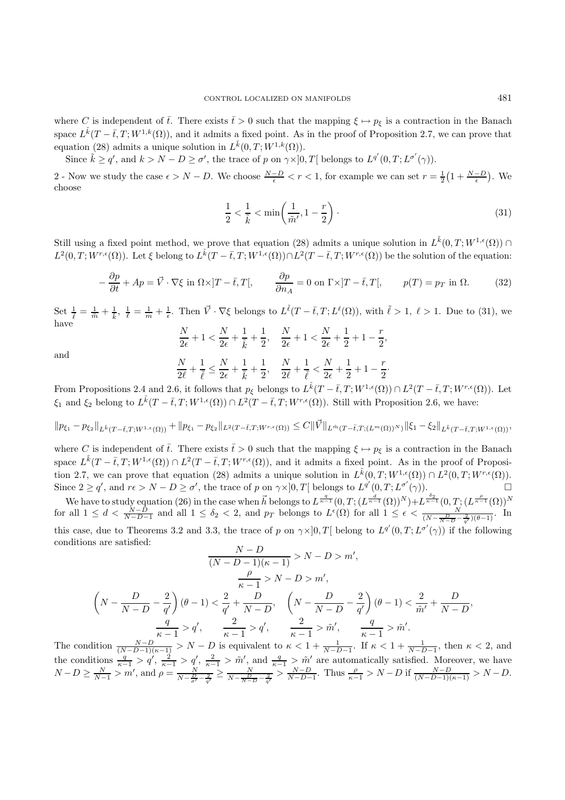where C is independent of  $\bar{t}$ . There exists  $\bar{t} > 0$  such that the mapping  $\xi \mapsto p_{\xi}$  is a contraction in the Banach space  $L^{\tilde{k}}(T-\bar{t},T;W^{1,k}(\Omega))$ , and it admits a fixed point. As in the proof of Proposition 2.7, we can prove that equation (28) admits a unique solution in  $L^{\tilde{k}}(0,T;W^{1,k}(\Omega)).$ 

Since  $\tilde{k} \ge q'$ , and  $k > N - D \ge \sigma'$ , the trace of p on  $\gamma \times ]0, T[$  belongs to  $L^{q'}(0, T; L^{\sigma'}(\gamma))$ .

2 - Now we study the case  $\epsilon > N - D$ . We choose  $\frac{N-D}{\epsilon} < r < 1$ , for example we can set  $r = \frac{1}{2}(1 + \frac{N-D}{\epsilon})$ . We choose

$$
\frac{1}{2} < \frac{1}{\tilde{k}} < \min\left(\frac{1}{\tilde{m}'} , 1 - \frac{r}{2}\right). \tag{31}
$$

Still using a fixed point method, we prove that equation (28) admits a unique solution in  $L^{\tilde{k}}(0,T;W^{1,\epsilon}(\Omega)) \cap$  $L^2(0,T;W^{r,\epsilon}(\Omega))$ . Let  $\xi$  belong to  $L^{\tilde{k}}(T-\bar{t},T;W^{1,\epsilon}(\Omega)) \cap L^2(T-\bar{t},T;W^{r,\epsilon}(\Omega))$  be the solution of the equation:

$$
-\frac{\partial p}{\partial t} + Ap = \vec{V} \cdot \nabla \xi \text{ in } \Omega \times ]T - \bar{t}, T[, \qquad \frac{\partial p}{\partial n_A} = 0 \text{ on } \Gamma \times ]T - \bar{t}, T[, \qquad p(T) = p_T \text{ in } \Omega. \tag{32}
$$

Set  $\frac{1}{\ell} = \frac{1}{\tilde{m}} + \frac{1}{\tilde{k}}, \ \frac{1}{\ell} = \frac{1}{m} + \frac{1}{\epsilon}$ . Then  $\vec{V} \cdot \nabla \xi$  belongs to  $L^{\tilde{\ell}}(T - \bar{t}, T; L^{\ell}(\Omega))$ , with  $\tilde{\ell} > 1, \ \ell > 1$ . Due to (31), we have  $\frac{N}{2}+1 < \frac{N}{2}+ \frac{1}{3} + \frac{1}{2}, \quad \frac{N}{2}+1 < \frac{N}{2}+ \frac{1}{2}$ 

$$
\frac{N}{2\epsilon} + 1 < \frac{N}{2\epsilon} + \frac{1}{\tilde{k}} + \frac{1}{2}, \quad \frac{N}{2\epsilon} + 1 < \frac{N}{2\epsilon} + \frac{1}{2} + 1 - \frac{r}{2},
$$

and

$$
\frac{N}{2\ell} + \frac{1}{\tilde{\ell}} \le \frac{N}{2\epsilon} + \frac{1}{\tilde{k}} + \frac{1}{2}, \quad \frac{N}{2\ell} + \frac{1}{\tilde{\ell}} < \frac{N}{2\epsilon} + \frac{1}{2} + 1 - \frac{r}{2}.
$$

From Propositions 2.4 and 2.6, it follows that  $p_{\xi}$  belongs to  $L^{\tilde{k}}(T-\bar{t},T;W^{1,\epsilon}(\Omega)) \cap L^2(T-\bar{t},T;W^{r,\epsilon}(\Omega))$ . Let  $\xi_1$  and  $\xi_2$  belong to  $L^{\tilde{k}}(T-\bar{t},T;W^{1,\epsilon}(\Omega)) \cap L^2(T-\bar{t},T;W^{r,\epsilon}(\Omega))$ . Still with Proposition 2.6, we have:

$$
\|p_{\xi_1} - p_{\xi_2}\|_{L^{\tilde{k}}(T-\bar{t},T;W^{1,\epsilon}(\Omega))} + \|p_{\xi_1} - p_{\xi_2}\|_{L^2(T-\bar{t},T;W^{r,\epsilon}(\Omega))} \leq C \|\vec{V}\|_{L^{\tilde{m}}(T-\bar{t},T;(L^m(\Omega))^N)} \|\xi_1 - \xi_2\|_{L^{\tilde{k}}(T-\bar{t},T;W^{1,\epsilon}(\Omega))},
$$

where C is independent of  $\bar{t}$ . There exists  $\bar{t} > 0$  such that the mapping  $\xi \mapsto p_{\xi}$  is a contraction in the Banach space  $L^{\tilde{k}}(T-\bar{t},T;W^{1,\epsilon}(\Omega)) \cap L^2(T-\bar{t},T;W^{r,\epsilon}(\Omega)),$  and it admits a fixed point. As in the proof of Proposition 2.7, we can prove that equation (28) admits a unique solution in  $L^{\tilde{k}}(0,T;W^{1,\epsilon}(\Omega)) \cap L^2(0,T;W^{r,\epsilon}(\Omega))$ . Since  $2 \ge q'$ , and  $r \epsilon > N - D \ge \sigma'$ , the trace of p on  $\gamma \times ]0, T[$  belongs to  $L^{q'}(0, T; L^{\sigma'}(\gamma))$ .

We have to study equation (26) in the case when  $\vec{h}$  belongs to  $L^{\frac{q}{\kappa-1}}(0,T;(L^{\frac{d}{\kappa-1}}(\Omega))^N)+L^{\frac{\delta_2}{\kappa-1}}(0,T;(L^{\frac{\rho}{\kappa-1}}(\Omega))^N$ for all  $1 \leq d < \frac{N-D}{N-D-1}$  and all  $1 \leq \delta_2 < 2$ , and  $p_T$  belongs to  $L^{\epsilon}(\Omega)$  for all  $1 \leq \epsilon < \frac{N}{(N-\frac{D}{N-D}-\frac{2}{q'})(\theta-1)}$ . In this case, due to Theorems 3.2 and 3.3, the trace of p on  $\gamma \times ]0,T[$  belong to  $L^{q'}(0,T; L^{\sigma'}(\gamma))$  if the following conditions are satisfied:

$$
\frac{N-D}{(N-D-1)(\kappa-1)} > N-D > m',
$$
  

$$
\frac{\rho}{\kappa-1} > N-D > m',
$$
  

$$
\left(N - \frac{D}{N-D} - \frac{2}{q'}\right)(\theta - 1) < \frac{2}{q'} + \frac{D}{N-D}, \quad \left(N - \frac{D}{N-D} - \frac{2}{q'}\right)(\theta - 1) < \frac{2}{\tilde{m}'} + \frac{D}{N-D},
$$
  

$$
\frac{q}{\kappa-1} > q', \quad \frac{2}{\kappa-1} > q', \quad \frac{2}{\kappa-1} > \tilde{m}', \quad \frac{q}{\kappa-1} > \tilde{m}'.
$$

The condition  $\frac{N-D}{(N-D-1)(\kappa-1)} > N-D$  is equivalent to  $\kappa < 1+\frac{1}{N-D-1}$ . If  $\kappa < 1+\frac{1}{N-D-1}$ , then  $\kappa < 2$ , and the conditions  $\frac{q}{\kappa-1} > q'$ ,  $\frac{2}{\kappa-1} > q'$ ,  $\frac{2}{\kappa-1} > \tilde{m}'$ , and  $\frac{q}{\kappa-1} > \tilde{m}'$  are automatically satisfied. Moreover, we have  $N-D \ge \frac{N}{N-1} > m'$ , and  $\rho = \frac{N}{N-\frac{D}{\sigma'}-\frac{2}{q'}} \ge \frac{N}{N-\frac{D}{N-D}-\frac{2}{q'}} > \frac{N-D}{N-D-1}$ . Thus  $\frac{\rho}{\kappa-1} > N-D$  if  $\frac{N-D}{(N-D-1)(\kappa-1)} > N-D$ .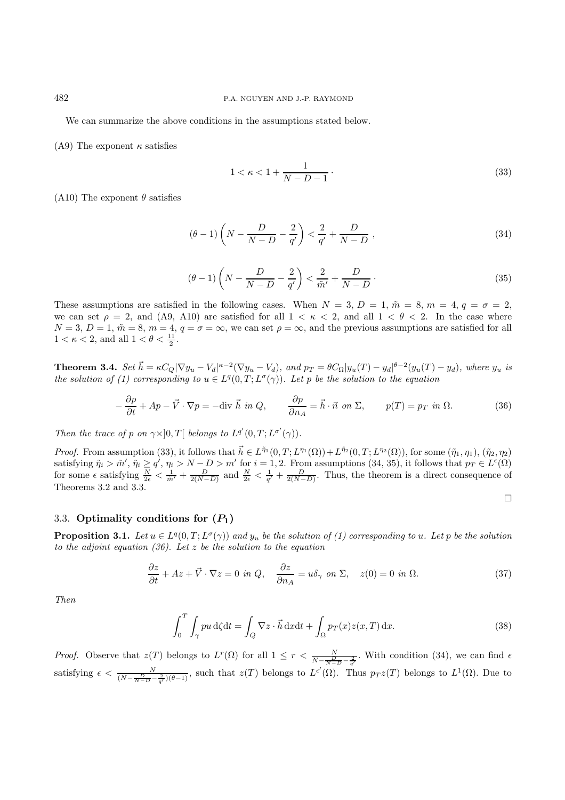We can summarize the above conditions in the assumptions stated below.

(A9) The exponent  $\kappa$  satisfies

$$
1 < \kappa < 1 + \frac{1}{N - D - 1} \tag{33}
$$

(A10) The exponent  $\theta$  satisfies

$$
(\theta - 1)\left(N - \frac{D}{N - D} - \frac{2}{q'}\right) < \frac{2}{q'} + \frac{D}{N - D},\tag{34}
$$

$$
(\theta - 1)\left(N - \frac{D}{N - D} - \frac{2}{q'}\right) < \frac{2}{\tilde{m}'} + \frac{D}{N - D} \tag{35}
$$

These assumptions are satisfied in the following cases. When  $N = 3$ ,  $D = 1$ ,  $\tilde{m} = 8$ ,  $m = 4$ ,  $q = \sigma = 2$ , we can set  $\rho = 2$ , and (A9, A10) are satisfied for all  $1 < \kappa < 2$ , and all  $1 < \theta < 2$ . In the case where  $N = 3, D = 1, \tilde{m} = 8, m = 4, q = \sigma = \infty$ , we can set  $\rho = \infty$ , and the previous assumptions are satisfied for all  $1 < \kappa < 2$ , and all  $1 < \theta < \frac{11}{2}$ .

**Theorem 3.4.** Set  $\vec{h} = \kappa C_Q |\nabla y_u - V_d|^{k-2} (\nabla y_u - V_d)$ , and  $p_T = \theta C_\Omega |y_u(T) - y_d|^{\theta-2} (y_u(T) - y_d)$ , where  $y_u$  is the solution of (1) corresponding to  $u \in L^{q}(0,T;L^{\sigma}(\gamma))$ . Let p be the solution to the equation

$$
-\frac{\partial p}{\partial t} + Ap - \vec{V} \cdot \nabla p = -\text{div } \vec{h} \text{ in } Q, \qquad \frac{\partial p}{\partial n_A} = \vec{h} \cdot \vec{n} \text{ on } \Sigma, \qquad p(T) = p_T \text{ in } \Omega. \tag{36}
$$

Then the trace of p on  $\gamma \times ]0,T[$  belongs to  $L^{q'}(0,T;L^{\sigma'}(\gamma))$ .

Proof. From assumption (33), it follows that  $\vec{h} \in L^{\tilde{\eta}_1}(0,T;L^{\eta_1}(\Omega))+L^{\tilde{\eta}_2}(0,T;L^{\eta_2}(\Omega))$ , for some  $(\tilde{\eta}_1,\eta_1), (\tilde{\eta}_2,\eta_2)$ satisfying  $\tilde{\eta}_i > \tilde{m}'$ ,  $\tilde{\eta}_i \ge q'$ ,  $\eta_i > N - D > m'$  for  $i = 1, 2$ . From assumptions  $(34, 35)$ , it follows that  $p_T \in L^{\epsilon}(\Omega)$ for some  $\epsilon$  satisfying  $\frac{N}{2\epsilon} < \frac{1}{\tilde{m}'} + \frac{D}{2(N-D)}$  and  $\frac{N}{2\epsilon} < \frac{1}{q'} + \frac{D}{2(N-D)}$ . Thus, the theorem is a direct consequence of Theorems 3.2 and 3.3.

$$
\Box
$$

## 3.3. **Optimality conditions for**  $(P_1)$

**Proposition 3.1.** Let  $u \in L^q(0,T; L^{\sigma}(\gamma))$  and  $y_u$  be the solution of (1) corresponding to u. Let p be the solution to the adjoint equation (36). Let  $z$  be the solution to the equation

$$
\frac{\partial z}{\partial t} + Az + \vec{V} \cdot \nabla z = 0 \text{ in } Q, \quad \frac{\partial z}{\partial n_A} = u\delta_\gamma \text{ on } \Sigma, \quad z(0) = 0 \text{ in } \Omega. \tag{37}
$$

Then

$$
\int_0^T \int_\gamma pu \,d\zeta dt = \int_Q \nabla z \cdot \vec{h} \,dx dt + \int_\Omega p_T(x) z(x,T) \,dx. \tag{38}
$$

*Proof.* Observe that  $z(T)$  belongs to  $L^r(\Omega)$  for all  $1 \leq r < \frac{N}{N-\frac{D}{N-D} - \frac{2}{q'}}$ . With condition (34), we can find  $\epsilon$ satisfying  $\epsilon < \frac{N}{(N-\frac{D}{N-D}-\frac{2}{q'})(\theta-1)}$ , such that  $z(T)$  belongs to  $L^{\epsilon'}(\Omega)$ . Thus  $p_Tz(T)$  belongs to  $L^1(\Omega)$ . Due to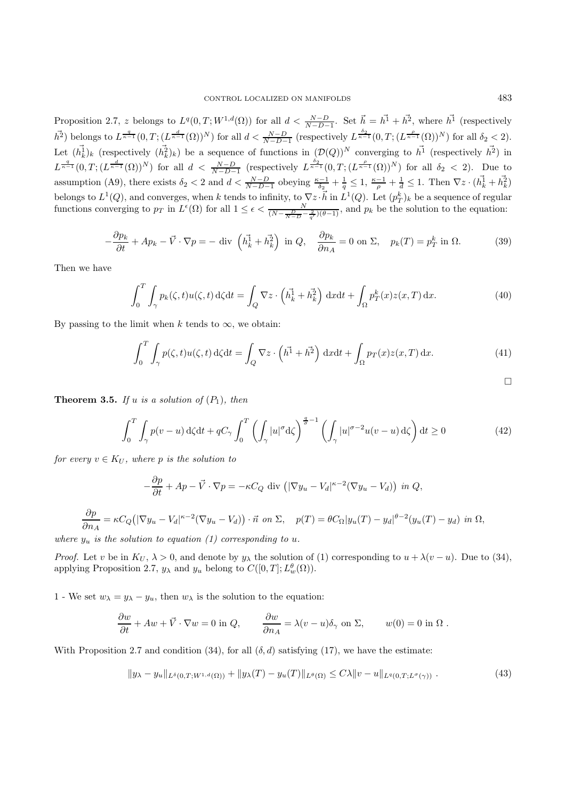Proposition 2.7, z belongs to  $L^q(0,T;W^{1,d}(\Omega))$  for all  $d < \frac{N-D}{N-D-1}$ . Set  $\vec{h} = h^{\vec{1}} + h^{\vec{2}}$ , where  $h^{\vec{1}}$  (respectively  $\overrightarrow{h}^2$ ) belongs to  $L^{\frac{q}{\kappa-1}}(0,T;(L^{\frac{d}{\kappa-1}}(\Omega))^N)$  for all  $d < \frac{N-D}{N-D-1}$  (respectively  $L^{\frac{\delta_2}{\kappa-1}}(0,T;(L^{\frac{\rho}{\kappa-1}}(\Omega))^N)$  for all  $\delta_2 < 2$ ). Let  $(h_k^{\overline{1}})_k$  (respectively  $(h_k^{\overline{2}})_k$ ) be a sequence of functions in  $(\mathcal{D}(Q))^N$  converging to  $h^{\overline{1}}$  (respectively  $h^{\overline{2}}$ ) in  $L^{\frac{q}{\kappa-1}}(0,T;(L^{\frac{d}{\kappa-1}}(\Omega))^N)$  for all  $d < \frac{N-D}{N-D-1}$  (respectively  $L^{\frac{\delta_2}{\kappa-1}}(0,T;(L^{\frac{\rho}{\kappa-1}}(\Omega))^N)$  for all  $\delta_2 < 2$ ). Due to assumption (A9), there exists  $\delta_2 < 2$  and  $d < \frac{N-D}{N-D-1}$  obeying  $\frac{\kappa-1}{\delta_2} + \frac{1}{q} \leq 1$ ,  $\frac{\kappa-1}{\rho} + \frac{1}{d} \leq 1$ . Then  $\nabla z \cdot (h_k^{\vec{1}} + h_k^{\vec{2}})$ belongs to  $L^1(Q)$ , and converges, when k tends to infinity, to  $\nabla z \cdot \vec{h}$  in  $L^1(Q)$ . Let  $(p_T^k)_k$  be a sequence of regular functions converging to  $p_T$  in  $L^{\epsilon}(\Omega)$  for all  $1 \leq \epsilon < \frac{N}{(N - \frac{D}{N - D} - \frac{2}{q'}) (\theta - 1)}$ , and  $p_k$  be the solution to the equation:

$$
-\frac{\partial p_k}{\partial t} + Ap_k - \vec{V} \cdot \nabla p = -\text{ div }\left(\vec{h}_k^1 + \vec{h}_k^2\right) \text{ in } Q, \quad \frac{\partial p_k}{\partial n_A} = 0 \text{ on } \Sigma, \quad p_k(T) = p_T^k \text{ in } \Omega. \tag{39}
$$

Then we have

$$
\int_0^T \int_\gamma p_k(\zeta, t) u(\zeta, t) \,d\zeta dt = \int_Q \nabla z \cdot \left( h_k^{\frac{1}{4}} + h_k^{\frac{1}{2}} \right) \,dx dt + \int_\Omega p_T^k(x) z(x, T) \,dx. \tag{40}
$$

By passing to the limit when k tends to  $\infty$ , we obtain:

$$
\int_0^T \int_\gamma p(\zeta, t) u(\zeta, t) \, d\zeta dt = \int_Q \nabla z \cdot \left( \vec{h}^1 + \vec{h}^2 \right) \, dx dt + \int_\Omega p_T(x) z(x, T) \, dx. \tag{41}
$$

**Theorem 3.5.** If u is a solution of  $(P_1)$ , then

$$
\int_0^T \int_\gamma p(v-u) \, d\zeta dt + qC_\gamma \int_0^T \left( \int_\gamma |u|^\sigma d\zeta \right)^{\frac{q}{\sigma}-1} \left( \int_\gamma |u|^{\sigma-2} u(v-u) \, d\zeta \right) dt \ge 0 \tag{42}
$$

for every  $v \in K_U$ , where p is the solution to

$$
-\frac{\partial p}{\partial t} + Ap - \vec{V} \cdot \nabla p = -\kappa C_Q \text{ div } \left( |\nabla y_u - V_d|^{k-2} (\nabla y_u - V_d) \right) \text{ in } Q,
$$

$$
\frac{\partial p}{\partial n_A} = \kappa C_Q \big( |\nabla y_u - V_d|^{k-2} (\nabla y_u - V_d) \big) \cdot \vec{n} \text{ on } \Sigma, \quad p(T) = \theta C_\Omega |y_u(T) - y_d|^{\theta - 2} (y_u(T) - y_d) \text{ in } \Omega,
$$

where  $y_u$  is the solution to equation (1) corresponding to u.

*Proof.* Let v be in  $K_U$ ,  $\lambda > 0$ , and denote by  $y_\lambda$  the solution of (1) corresponding to  $u + \lambda (v - u)$ . Due to (34), applying Proposition 2.7,  $y_{\lambda}$  and  $y_u$  belong to  $C([0, T]; L_w^{\theta}(\Omega))$ .

1 - We set  $w_{\lambda} = y_{\lambda} - y_{u}$ , then  $w_{\lambda}$  is the solution to the equation:

$$
\frac{\partial w}{\partial t} + Aw + \vec{V} \cdot \nabla w = 0 \text{ in } Q, \qquad \frac{\partial w}{\partial n_A} = \lambda (v - u) \delta_\gamma \text{ on } \Sigma, \qquad w(0) = 0 \text{ in } \Omega.
$$

With Proposition 2.7 and condition (34), for all  $(\delta, d)$  satisfying (17), we have the estimate:

$$
||y_{\lambda} - y_{u}||_{L^{\delta}(0,T;W^{1,d}(\Omega))} + ||y_{\lambda}(T) - y_{u}(T)||_{L^{\theta}(\Omega)} \leq C\lambda ||v - u||_{L^{q}(0,T;L^{\sigma}(\gamma))}.
$$
\n(43)

 $\Box$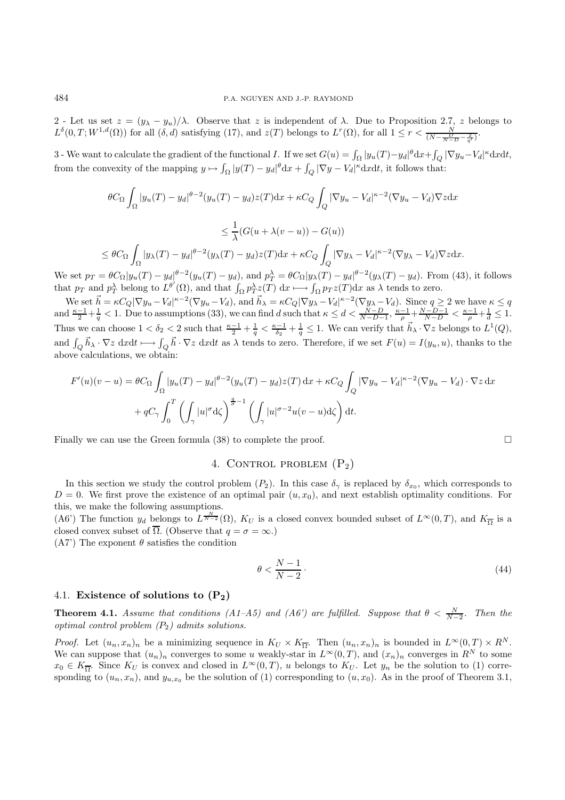2 - Let us set  $z = (y_{\lambda} - y_u)/\lambda$ . Observe that z is independent of  $\lambda$ . Due to Proposition 2.7, z belongs to  $L^{\delta}(0,T;W^{1,d}(\Omega))$  for all  $(\delta, d)$  satisfying (17), and  $z(T)$  belongs to  $L^r(\Omega)$ , for all  $1 \leq r < \frac{N}{(N-\frac{D}{N-D}-\frac{2}{q'})}$ .

3 - We want to calculate the gradient of the functional *I*. If we set  $G(u) = \int_{\Omega} |y_u(T) - y_d|^{\theta} dx + \int_Q |\nabla y_u - V_d|^{\kappa} dx dt$ , from the convexity of the mapping  $y \mapsto \int_{\Omega} |y(T) - y_d|^{\theta} dx + \int_{Q} |\nabla y - V_d|^{\kappa} dx dt$ , it follows that:

$$
\theta C_{\Omega} \int_{\Omega} |y_u(T) - y_d|^{\theta - 2} (y_u(T) - y_d) z(T) dx + \kappa C_Q \int_Q |\nabla y_u - V_d|^{k-2} (\nabla y_u - V_d) \nabla z dx
$$
  

$$
\leq \frac{1}{\lambda} (G(u + \lambda(v - u)) - G(u))
$$
  

$$
\leq \theta C_{\Omega} \int_{\Omega} |y_\lambda(T) - y_d|^{\theta - 2} (y_\lambda(T) - y_d) z(T) dx + \kappa C_Q \int_Q |\nabla y_\lambda - V_d|^{k-2} (\nabla y_\lambda - V_d) \nabla z dx.
$$

We set  $p_T = \theta C_{\Omega} |y_u(T) - y_d|^{\theta - 2} (y_u(T) - y_d)$ , and  $p_T^{\lambda} = \theta C_{\Omega} |y_{\lambda}(T) - y_d|^{\theta - 2} (y_{\lambda}(T) - y_d)$ . From (43), it follows that  $p_T$  and  $p_T^{\lambda}$  belong to  $L^{\theta'}(\Omega)$ , and that  $\int_{\Omega} p_T^{\lambda} z(T) dx \mapsto \int_{\Omega} p_T z(T) dx$  as  $\lambda$  tends to zero.

We set  $\vec{h} = \kappa C_Q |\nabla y_u - V_d|^{k-2} (\nabla y_u - V_d)$ , and  $\vec{h}_{\lambda} = \kappa C_Q |\nabla y_{\lambda} - V_d|^{k-2} (\nabla y_{\lambda} - V_d)$ . Since  $q \ge 2$  we have  $\kappa \le q$ and  $\frac{\kappa-1}{2}+\frac{1}{q}<1$ . Due to assumptions (33), we can find d such that  $\kappa \leq d < \frac{N-D}{N-D-1}$ ,  $\frac{\kappa-1}{\rho}+\frac{N-D-1}{N-D} < \frac{\kappa-1}{\rho}+\frac{1}{d} \leq 1$ . Thus we can choose  $1 < \delta_2 < 2$  such that  $\frac{\kappa - 1}{2} + \frac{1}{q} < \frac{\kappa - 1}{\delta_2} + \frac{1}{q} \leq 1$ . We can verify that  $\vec{h}_{\lambda} \cdot \nabla z$  belongs to  $L^1(Q)$ , and  $\int_{Q} \vec{h}_{\lambda} \cdot \nabla z \, dx dt \longmapsto \int_{Q} \vec{h} \cdot \nabla z \, dx dt$  as  $\lambda$  tends to zero. Therefore, if we set  $F(u) = I(y_u, u)$ , thanks to the above calculations, we obtain:

$$
F'(u)(v-u) = \theta C_{\Omega} \int_{\Omega} |y_u(T) - y_d|^{\theta - 2} (y_u(T) - y_d) z(T) dx + \kappa C_Q \int_Q |\nabla y_u - V_d|^{\kappa - 2} (\nabla y_u - V_d) \cdot \nabla z dx
$$

$$
+ q C_{\gamma} \int_0^T \left( \int_{\gamma} |u|^{\sigma} d\zeta \right)^{\frac{q}{\sigma} - 1} \left( \int_{\gamma} |u|^{\sigma - 2} u(v - u) d\zeta \right) dt.
$$

Finally we can use the Green formula (38) to complete the proof.  $\square$ 

## 4. CONTROL PROBLEM  $(P_2)$

In this section we study the control problem  $(P_2)$ . In this case  $\delta_{\gamma}$  is replaced by  $\delta_{x_0}$ , which corresponds to  $D = 0$ . We first prove the existence of an optimal pair  $(u, x_0)$ , and next establish optimality conditions. For this, we make the following assumptions.

(A6') The function  $y_d$  belongs to  $L^{\frac{N}{N-2}}(\Omega)$ ,  $K_U$  is a closed convex bounded subset of  $L^{\infty}(0,T)$ , and  $K_{\overline{\Omega}}$  is a closed convex subset of  $\overline{\Omega}$ . (Observe that  $q = \sigma = \infty$ .)

 $(A7')$  The exponent  $\theta$  satisfies the condition

$$
\theta < \frac{N-1}{N-2} \tag{44}
$$

## 4.1. **Existence of solutions to (P2)**

**Theorem 4.1.** Assume that conditions (A1–A5) and (A6') are fulfilled. Suppose that  $\theta < \frac{N}{N-2}$ . Then the optimal control problem  $(P_2)$  admits solutions.

*Proof.* Let  $(u_n, x_n)_n$  be a minimizing sequence in  $K_U \times K_{\overline{\Omega}}$ . Then  $(u_n, x_n)_n$  is bounded in  $L^{\infty}(0, T) \times R^N$ . We can suppose that  $(u_n)_n$  converges to some u weakly-star in  $L^{\infty}(0,T)$ , and  $(x_n)_n$  converges in  $R^N$  to some  $x_0 \in K_{\overline{\Omega}}$ . Since  $K_U$  is convex and closed in  $L^{\infty}(0,T)$ , u belongs to  $K_U$ . Let  $y_n$  be the solution to (1) corresponding to  $(u_n, x_n)$ , and  $y_{u,x_0}$  be the solution of (1) corresponding to  $(u, x_0)$ . As in the proof of Theorem 3.1,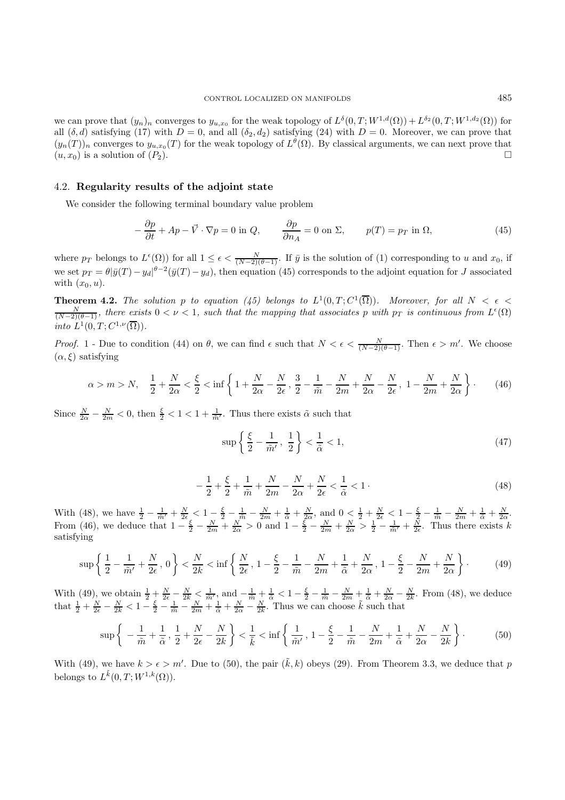we can prove that  $(y_n)_n$  converges to  $y_{u,x_0}$  for the weak topology of  $L^{\delta}(0,T;W^{1,d}(\Omega)) + L^{\delta_2}(0,T;W^{1,d_2}(\Omega))$  for all  $(\delta, d)$  satisfying (17) with  $D = 0$ , and all  $(\delta_2, d_2)$  satisfying (24) with  $D = 0$ . Moreover, we can prove that  $(y_n(T))_n$  converges to  $y_{u,x_0}(T)$  for the weak topology of  $L^{\theta}(\Omega)$ . By classical arguments, we can next prove that  $(u, x_0)$  is a solution of  $(P_2)$ .

## 4.2. **Regularity results of the adjoint state**

We consider the following terminal boundary value problem

$$
-\frac{\partial p}{\partial t} + Ap - \vec{V} \cdot \nabla p = 0 \text{ in } Q, \qquad \frac{\partial p}{\partial n_A} = 0 \text{ on } \Sigma, \qquad p(T) = p_T \text{ in } \Omega,
$$
 (45)

where  $p_T$  belongs to  $L^{\epsilon}(\Omega)$  for all  $1 \leq \epsilon < \frac{N}{(N-2)(\theta-1)}$ . If  $\bar{y}$  is the solution of (1) corresponding to u and  $x_0$ , if we set  $p_T = \theta |\bar{y}(T) - y_d|^{1/2} (\bar{y}(T) - y_d)$ , then equation (45) corresponds to the adjoint equation for J associated with  $(x_0, u)$ .

**Theorem 4.2.** The solution p to equation (45) belongs to  $L^1(0,T;C^1(\overline{\Omega}))$ . Moreover, for all  $N < \epsilon$  $\frac{N}{(N-2)(\theta-1)}$ , there exists  $0 < \nu < 1$ , such that the mapping that associates p with  $p_T$  is continuous from  $L^{\epsilon}(\Omega)$ into  $L^1(0,T;C^{1,\nu}(\overline{\Omega}))$ .

*Proof.* 1 - Due to condition (44) on  $\theta$ , we can find  $\epsilon$  such that  $N < \epsilon < \frac{N}{(N-2)(\theta-1)}$ . Then  $\epsilon > m'$ . We choose  $(\alpha, \xi)$  satisfying

$$
\alpha > m > N, \quad \frac{1}{2} + \frac{N}{2\alpha} < \frac{\xi}{2} < \inf\left\{1 + \frac{N}{2\alpha} - \frac{N}{2\epsilon}, \frac{3}{2} - \frac{1}{\tilde{m}} - \frac{N}{2m} + \frac{N}{2\alpha} - \frac{N}{2\epsilon}, 1 - \frac{N}{2m} + \frac{N}{2\alpha}\right\}.
$$
 (46)

Since  $\frac{N}{2\alpha} - \frac{N}{2m} < 0$ , then  $\frac{\xi}{2} < 1 < 1 + \frac{1}{\tilde{m}'}$ . Thus there exists  $\tilde{\alpha}$  such that

$$
\sup\left\{\frac{\xi}{2} - \frac{1}{\tilde{m}'}, \frac{1}{2}\right\} < \frac{1}{\tilde{\alpha}} < 1,\tag{47}
$$

$$
-\frac{1}{2} + \frac{\xi}{2} + \frac{1}{\tilde{m}} + \frac{N}{2m} - \frac{N}{2\alpha} + \frac{N}{2\epsilon} < \frac{1}{\tilde{\alpha}} < 1 \tag{48}
$$

With (48), we have  $\frac{1}{2} - \frac{1}{\tilde{m}'} + \frac{N}{2\epsilon} < 1 - \frac{\xi}{2} - \frac{1}{\tilde{m}} - \frac{N}{2m} + \frac{1}{\tilde{\alpha}} + \frac{N}{2\alpha}$ , and  $0 < \frac{1}{2} + \frac{N}{2\epsilon} < 1 - \frac{\xi}{2} - \frac{1}{\tilde{m}} - \frac{N}{2m} + \frac{1}{\tilde{\alpha}} + \frac{N}{2\alpha}$ . From (46), we deduce that  $1-\frac{\xi}{2}-\frac{N}{2m}+\frac{N}{2\alpha}>0$  and  $1-\frac{\xi}{2}-\frac{N}{2m}+\frac{N}{2\alpha}>\frac{1}{2}-\frac{1}{m'}+\frac{N}{2\epsilon}$ . Thus there exists k satisfying

$$
\sup\left\{\frac{1}{2} - \frac{1}{\tilde{m}'} + \frac{N}{2\epsilon}, 0\right\} < \frac{N}{2k} < \inf\left\{\frac{N}{2\epsilon}, 1 - \frac{\xi}{2} - \frac{1}{\tilde{m}} - \frac{N}{2m} + \frac{1}{\tilde{\alpha}} + \frac{N}{2\alpha}, 1 - \frac{\xi}{2} - \frac{N}{2m} + \frac{N}{2\alpha}\right\}.
$$
 (49)

With (49), we obtain  $\frac{1}{2} + \frac{N}{2\epsilon} - \frac{N}{2k} < \frac{1}{\tilde{m}'}$ , and  $-\frac{1}{\tilde{m}} + \frac{1}{\tilde{\alpha}} < 1 - \frac{\xi}{2} - \frac{1}{\tilde{m}} - \frac{N}{2m} + \frac{1}{\tilde{\alpha}} + \frac{N}{2\alpha} - \frac{N}{2k}$ . From (48), we deduce that  $\frac{1}{2} + \frac{N}{2\epsilon} - \frac{N}{2k} < 1 - \frac{\xi}{2} - \frac{1}{\tilde{m}} - \frac{N}{2m} + \frac{1}{\tilde{\alpha}} + \frac{N}{2\alpha} - \frac{N}{2k}$ . Thus we can choose  $\tilde{k}$  such that

$$
\sup\left\{-\frac{1}{\tilde{m}}+\frac{1}{\tilde{\alpha}},\frac{1}{2}+\frac{N}{2\epsilon}-\frac{N}{2k}\right\}<\frac{1}{\tilde{k}}<\inf\left\{\frac{1}{\tilde{m}'},1-\frac{\xi}{2}-\frac{1}{\tilde{m}}-\frac{N}{2m}+\frac{1}{\tilde{\alpha}}+\frac{N}{2\alpha}-\frac{N}{2k}\right\}.
$$
(50)

With (49), we have  $k > \epsilon > m'$ . Due to (50), the pair  $(\tilde{k}, k)$  obeys (29). From Theorem 3.3, we deduce that p belongs to  $L^{\tilde{k}}(0,T;W^{1,k}(\Omega)).$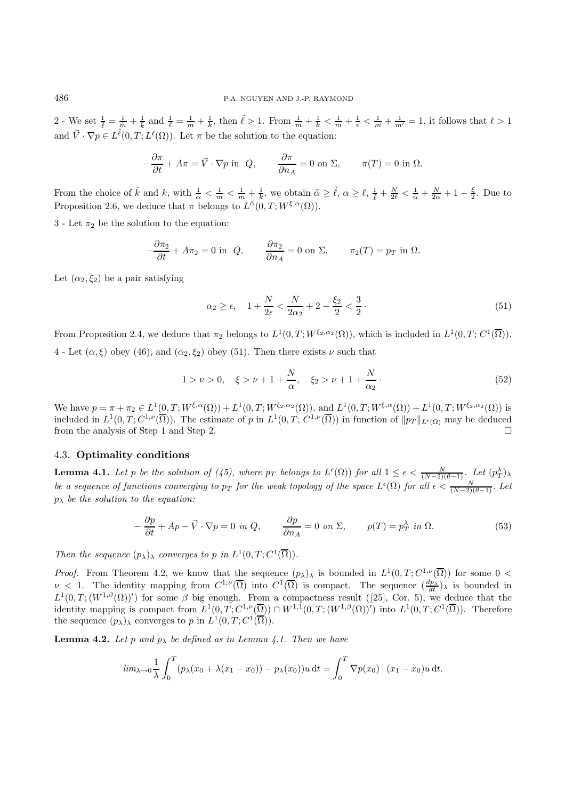2 - We set  $\frac{1}{\ell} = \frac{1}{m} + \frac{1}{k}$  and  $\frac{1}{\ell} = \frac{1}{m} + \frac{1}{k}$ , then  $\ell > 1$ . From  $\frac{1}{m} + \frac{1}{k} < \frac{1}{m} + \frac{1}{\epsilon} < \frac{1}{m} + \frac{1}{m'} = 1$ , it follows that  $\ell > 1$ and  $\vec{V} \cdot \nabla p \in L^{\tilde{\ell}}(0,T;L^{\ell}(\Omega))$ . Let  $\pi$  be the solution to the equation:

$$
-\frac{\partial \pi}{\partial t} + A\pi = \vec{V} \cdot \nabla p \text{ in } Q, \qquad \frac{\partial \pi}{\partial n_A} = 0 \text{ on } \Sigma, \qquad \pi(T) = 0 \text{ in } \Omega.
$$

From the choice of  $\tilde{k}$  and  $k$ , with  $\frac{1}{\alpha} < \frac{1}{m} < \frac{1}{m} + \frac{1}{k}$ , we obtain  $\tilde{\alpha} \geq \tilde{\ell}$ ,  $\alpha \geq \ell$ ,  $\frac{1}{\tilde{\ell}} + \frac{N}{2\ell} < \frac{1}{\tilde{\alpha}} + \frac{N}{2\alpha} + 1 - \frac{\xi}{2}$ . Due to Proposition 2.6, we deduce that  $\pi$  belongs to  $L^{\tilde{\alpha}}(0,T;W^{\xi,\alpha}(\Omega)).$ 

3 - Let  $\pi_2$  be the solution to the equation:

$$
-\frac{\partial \pi_2}{\partial t} + A\pi_2 = 0 \text{ in } Q, \qquad \frac{\partial \pi_2}{\partial n_A} = 0 \text{ on } \Sigma, \qquad \pi_2(T) = p_T \text{ in } \Omega.
$$

Let  $(\alpha_2, \xi_2)$  be a pair satisfying

$$
\alpha_2 \ge \epsilon, \quad 1 + \frac{N}{2\epsilon} < \frac{N}{2\alpha_2} + 2 - \frac{\xi_2}{2} < \frac{3}{2} \,. \tag{51}
$$

From Proposition 2.4, we deduce that  $\pi_2$  belongs to  $L^1(0,T;W^{\xi_2,\alpha_2}(\Omega))$ , which is included in  $L^1(0,T;C^1(\overline{\Omega}))$ . 4 - Let  $(\alpha, \xi)$  obey (46), and  $(\alpha_2, \xi_2)$  obey (51). Then there exists  $\nu$  such that

$$
1 > \nu > 0, \quad \xi > \nu + 1 + \frac{N}{\alpha}, \quad \xi_2 > \nu + 1 + \frac{N}{\alpha_2}.
$$
 (52)

We have  $p = \pi + \pi_2 \in L^1(0,T;W^{\xi,\alpha}(\Omega)) + L^1(0,T;W^{\xi_2,\alpha_2}(\Omega))$ , and  $L^1(0,T;W^{\xi,\alpha}(\Omega)) + L^1(0,T;W^{\xi_2,\alpha_2}(\Omega))$  is included in  $L^1(0,T;C^{1,\nu}(\overline{\Omega}))$ . The estimate of p in  $L^1(0,T;C^{1,\nu}(\overline{\Omega}))$  in function of  $||p_T||_{L^{\epsilon}(\Omega)}$  may be deduced from the analysis of Step 1 and Step 2.

### 4.3. **Optimality conditions**

**Lemma 4.1.** Let p be the solution of (45), where  $p_T$  belongs to  $L^{\epsilon}(\Omega)$  for all  $1 \leq \epsilon < \frac{N}{(N-2)(\theta-1)}$ . Let  $(p_T^{\lambda})_{\lambda}$ be a sequence of functions converging to  $p_T$  for the weak topology of the space  $L^{\epsilon}(\Omega)$  for all  $\epsilon < \frac{N}{(N-2)(\theta-1)}$ . Let  $p_{\lambda}$  be the solution to the equation:

$$
-\frac{\partial p}{\partial t} + Ap - \vec{V} \cdot \nabla p = 0 \text{ in } Q, \qquad \frac{\partial p}{\partial n_A} = 0 \text{ on } \Sigma, \qquad p(T) = p_T^{\lambda} \text{ in } \Omega. \tag{53}
$$

Then the sequence  $(p_{\lambda})_{\lambda}$  converges to p in  $L^1(0,T;C^1(\overline{\Omega}))$ .

*Proof.* From Theorem 4.2, we know that the sequence  $(p_\lambda)_\lambda$  is bounded in  $L^1(0,T;C^{1,\nu}(\overline{\Omega}))$  for some  $0<\infty$  $\nu$  < 1. The identity mapping from  $C^{1,\nu}(\overline{\Omega})$  into  $C^1(\overline{\Omega})$  is compact. The sequence  $\frac{dp_{\lambda}}{dt}$ )<sub>λ</sub> is bounded in  $L^1(0,T;(W^{1,\beta}(\Omega))')$  for some  $\beta$  big enough. From a compactness result ([25], Cor. 5), we deduce that the identity mapping is compact from  $L^1(0,T; C^{1,\nu}(\overline{\Omega})) \cap W^{1,1}(0,T; (W^{1,\beta}(\Omega))')$  into  $L^1(0,T; C^1(\overline{\Omega}))$ . Therefore the sequence  $(p_\lambda)_\lambda$  converges to p in  $L^1(0,T; C^1(\overline{\Omega}))$ .

**Lemma 4.2.** Let p and  $p_{\lambda}$  be defined as in Lemma 4.1. Then we have

$$
\lim_{\lambda \to 0} \frac{1}{\lambda} \int_0^T (p_\lambda(x_0 + \lambda(x_1 - x_0)) - p_\lambda(x_0))u \, \mathrm{d}t = \int_0^T \nabla p(x_0) \cdot (x_1 - x_0)u \, \mathrm{d}t.
$$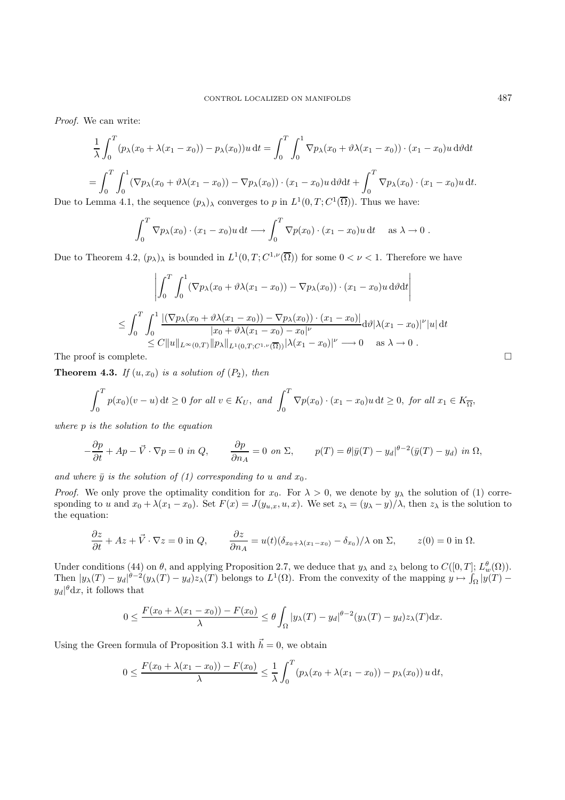Proof. We can write:

$$
\frac{1}{\lambda} \int_0^T (p_\lambda(x_0 + \lambda(x_1 - x_0)) - p_\lambda(x_0))u \, dt = \int_0^T \int_0^1 \nabla p_\lambda(x_0 + \vartheta \lambda(x_1 - x_0)) \cdot (x_1 - x_0)u \, d\vartheta dt
$$

$$
= \int_0^T \int_0^1 (\nabla p_\lambda(x_0 + \vartheta \lambda(x_1 - x_0)) - \nabla p_\lambda(x_0)) \cdot (x_1 - x_0)u \, d\vartheta dt + \int_0^T \nabla p_\lambda(x_0) \cdot (x_1 - x_0)u \, dt.
$$

Due to Lemma 4.1, the sequence  $(p_\lambda)$  converges to p in  $L^1(0,T;C^1(\overline{\Omega}))$ . Thus we have:

$$
\int_0^T \nabla p_\lambda(x_0) \cdot (x_1 - x_0) u \, \mathrm{d}t \longrightarrow \int_0^T \nabla p(x_0) \cdot (x_1 - x_0) u \, \mathrm{d}t \quad \text{as } \lambda \to 0 \; .
$$

Due to Theorem 4.2,  $(p_{\lambda})_{\lambda}$  is bounded in  $L^1(0,T;C^{1,\nu}(\overline{\Omega}))$  for some  $0<\nu<1$ . Therefore we have

$$
\left| \int_0^T \int_0^1 (\nabla p_\lambda (x_0 + \vartheta \lambda (x_1 - x_0)) - \nabla p_\lambda (x_0)) \cdot (x_1 - x_0) u \, d\vartheta dt \right|
$$
  
\n
$$
\leq \int_0^T \int_0^1 \frac{\left| (\nabla p_\lambda (x_0 + \vartheta \lambda (x_1 - x_0)) - \nabla p_\lambda (x_0)) \cdot (x_1 - x_0) \right|}{|x_0 + \vartheta \lambda (x_1 - x_0) - x_0|^\nu} d\vartheta |\lambda (x_1 - x_0)|^\nu |u| dt
$$
  
\n
$$
\leq C \|u\|_{L^\infty(0,T)} \|p_\lambda\|_{L^1(0,T;C^{1,\nu}(\overline{\Omega}))} |\lambda (x_1 - x_0)|^\nu \longrightarrow 0 \quad \text{as } \lambda \to 0.
$$

The proof is complete.  $\Box$ 

**Theorem 4.3.** If  $(u, x_0)$  is a solution of  $(P_2)$ , then

$$
\int_0^T p(x_0)(v-u) dt \ge 0 \text{ for all } v \in K_U, \text{ and } \int_0^T \nabla p(x_0) \cdot (x_1 - x_0)u dt \ge 0, \text{ for all } x_1 \in K_{\overline{\Omega}},
$$

where p is the solution to the equation

$$
-\frac{\partial p}{\partial t} + Ap - \vec{V} \cdot \nabla p = 0 \text{ in } Q, \qquad \frac{\partial p}{\partial n_A} = 0 \text{ on } \Sigma, \qquad p(T) = \theta |\bar{y}(T) - y_d|^{ \theta - 2} (\bar{y}(T) - y_d) \text{ in } \Omega,
$$

and where  $\bar{y}$  is the solution of (1) corresponding to u and  $x_0$ .

*Proof.* We only prove the optimality condition for  $x_0$ . For  $\lambda > 0$ , we denote by  $y_\lambda$  the solution of (1) corresponding to u and  $x_0 + \lambda(x_1 - x_0)$ . Set  $F(x) = J(y_{u,x}, u, x)$ . We set  $z_\lambda = (y_\lambda - y)/\lambda$ , then  $z_\lambda$  is the solution to the equation:

$$
\frac{\partial z}{\partial t} + Az + \vec{V} \cdot \nabla z = 0 \text{ in } Q, \qquad \frac{\partial z}{\partial n_A} = u(t)(\delta_{x_0 + \lambda(x_1 - x_0)} - \delta_{x_0})/\lambda \text{ on } \Sigma, \qquad z(0) = 0 \text{ in } \Omega.
$$

Under conditions (44) on  $\theta$ , and applying Proposition 2.7, we deduce that  $y_{\lambda}$  and  $z_{\lambda}$  belong to  $C([0,T]; L_w^{\theta}(\Omega))$ . Then  $|y_\lambda(T) - y_d|^{\theta - 2}(y_\lambda(T) - y_d)z_\lambda(T)$  belongs to  $L^1(\Omega)$ . From the convexity of the mapping  $y \mapsto \int_{\Omega} |y(T) - y_d|^{\theta - 2}(y_\lambda(T))$  $y_d|^{\theta} dx$ , it follows that

$$
0 \leq \frac{F(x_0 + \lambda(x_1 - x_0)) - F(x_0)}{\lambda} \leq \theta \int_{\Omega} |y_{\lambda}(T) - y_d|^{\theta - 2} (y_{\lambda}(T) - y_d) z_{\lambda}(T) dx.
$$

Using the Green formula of Proposition 3.1 with  $\vec{h} = 0$ , we obtain

$$
0 \le \frac{F(x_0 + \lambda(x_1 - x_0)) - F(x_0)}{\lambda} \le \frac{1}{\lambda} \int_0^T (p_\lambda(x_0 + \lambda(x_1 - x_0)) - p_\lambda(x_0)) u \, \mathrm{d}t,
$$